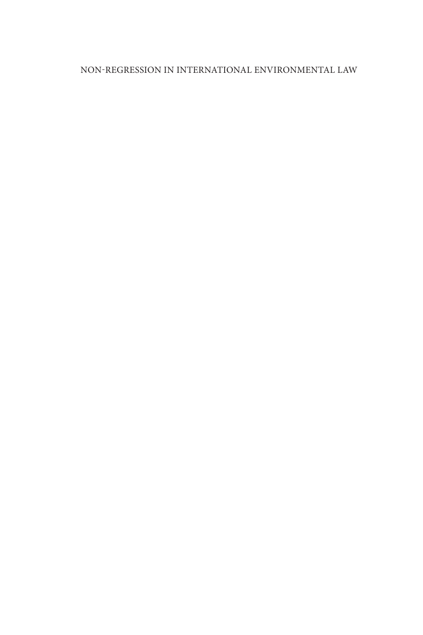## NON-REGRESSION IN INTERNATIONAL ENVIRONMENTAL LAW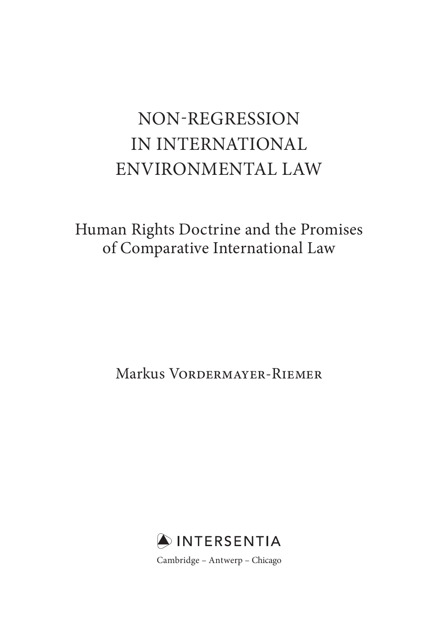# NON-REGRESSION IN INTERNATIONAL ENVIRONMENTAL LAW

 Human Rights Doctrine and the Promises of Comparative International Law

Markus Vordermayer-Riemer

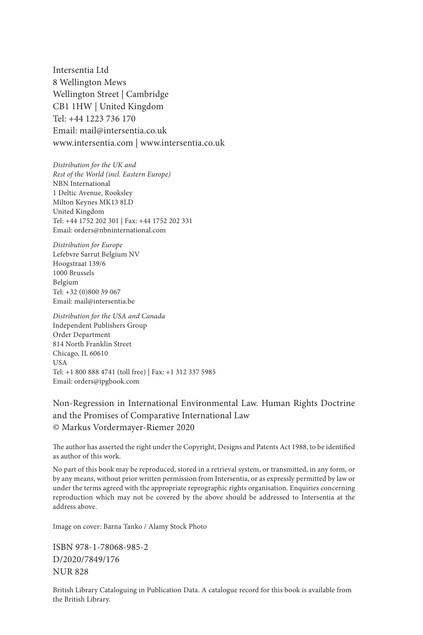Intersentia Ltd 8 Wellington Mews Wellington Street | Cambridge CB1 1HW | United Kingdom Tel: +44 1223 736 170 Email: mail@intersentia.co.uk www.intersentia.com | www.intersentia.co.uk

*Distribution for the UK and Rest of the World (incl. Eastern Europe)* NBN International 1 Deltic Avenue, Rooksley Milton Keynes MK13 8LD United Kingdom Tel: +44 1752 202 301 | Fax: +44 1752 202 331 Email: orders@nbninternational.com

*Distribution for Europe* Lefebvre Sarrut Belgium NV Hoogstraat 139/6 1000 Brussels Belgium Tel: +32 (0)800 39 067 Email: mail@intersentia.be

*Distribution for the USA and Canada* Independent Publishers Group Order Department 814 North Franklin Street Chicago, IL 60610 USA Tel: +1 800 888 4741 (toll free) | Fax: +1 312 337 5985 Email: orders@ipgbook.com

 Non-Regression in International Environmental Law. Human Rights Doctrine and the Promises of Comparative International Law © Markus Vordermayer-Riemer 2020

The author has asserted the right under the Copyright, Designs and Patents Act 1988, to be identified as author of this work.

 No part of this book may be reproduced, stored in a retrieval system, or transmitted, in any form, or by any means, without prior written permission from Intersentia, or as expressly permitted by law or under the terms agreed with the appropriate reprographic rights organisation. Enquiries concerning reproduction which may not be covered by the above should be addressed to Intersentia at the address above.

Image on cover: Barna Tanko / Alamy Stock Photo

 ISBN 978-1-78068-985-2 D/2020/7849/176 NUR 828

 British Library Cataloguing in Publication Data. A catalogue record for this book is available from the British Library.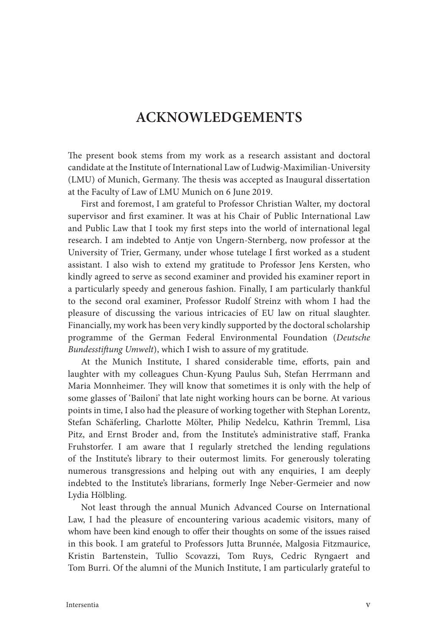## **ACKNOWLEDGEMENTS**

The present book stems from my work as a research assistant and doctoral candidate at the Institute of International Law of Ludwig-Maximilian-University (LMU) of Munich, Germany. The thesis was accepted as Inaugural dissertation at the Faculty of Law of LMU Munich on 6 June 2019.

 First and foremost, I am grateful to Professor Christian Walter, my doctoral supervisor and first examiner. It was at his Chair of Public International Law and Public Law that I took my first steps into the world of international legal research. I am indebted to Antje von Ungern-Sternberg, now professor at the University of Trier, Germany, under whose tutelage I first worked as a student assistant. I also wish to extend my gratitude to Professor Jens Kersten, who kindly agreed to serve as second examiner and provided his examiner report in a particularly speedy and generous fashion. Finally, I am particularly thankful to the second oral examiner, Professor Rudolf Streinz with whom I had the pleasure of discussing the various intricacies of EU law on ritual slaughter. Financially, my work has been very kindly supported by the doctoral scholarship programme of the German Federal Environmental Foundation ( *Deutsche Bundesstift ung Umwelt* ), which I wish to assure of my gratitude.

At the Munich Institute, I shared considerable time, efforts, pain and laughter with my colleagues Chun-Kyung Paulus Suh, Stefan Herrmann and Maria Monnheimer. They will know that sometimes it is only with the help of some glasses of 'Bailoni' that late night working hours can be borne. At various points in time, I also had the pleasure of working together with Stephan Lorentz, Stefan Schäferling, Charlotte Mölter, Philip Nedelcu, Kathrin Tremml, Lisa Pitz, and Ernst Broder and, from the Institute's administrative staff, Franka Fruhstorfer. I am aware that I regularly stretched the lending regulations of the Institute's library to their outermost limits. For generously tolerating numerous transgressions and helping out with any enquiries, I am deeply indebted to the Institute's librarians, formerly Inge Neber-Germeier and now Lydia Hölbling.

 Not least through the annual Munich Advanced Course on International Law, I had the pleasure of encountering various academic visitors, many of whom have been kind enough to offer their thoughts on some of the issues raised in this book. I am grateful to Professors Jutta Brunnée, Malgosia Fitzmaurice, Kristin Bartenstein, Tullio Scovazzi, Tom Ruys, Cedric Ryngaert and Tom Burri. Of the alumni of the Munich Institute, I am particularly grateful to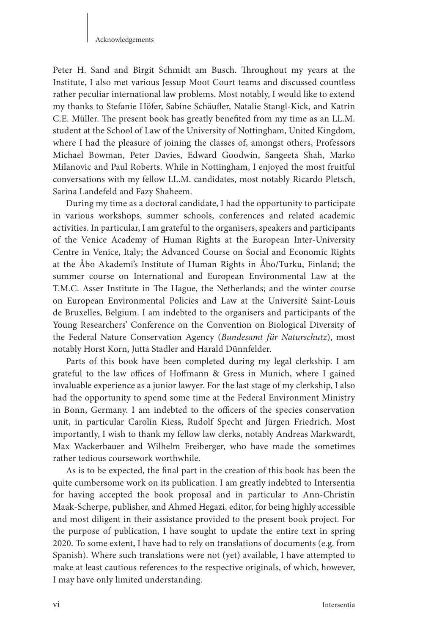#### Acknowledgements

Peter H. Sand and Birgit Schmidt am Busch. Throughout my years at the Institute, I also met various Jessup Moot Court teams and discussed countless rather peculiar international law problems. Most notably, I would like to extend my thanks to Stefanie Höfer, Sabine Schäufler, Natalie Stangl-Kick, and Katrin C.E. Müller. The present book has greatly benefited from my time as an LL.M. student at the School of Law of the University of Nottingham, United Kingdom, where I had the pleasure of joining the classes of, amongst others, Professors Michael Bowman, Peter Davies, Edward Goodwin, Sangeeta Shah, Marko Milanovic and Paul Roberts. While in Nottingham, I enjoyed the most fruitful conversations with my fellow LL.M. candidates, most notably Ricardo Pletsch, Sarina Landefeld and Fazy Shaheem.

 During my time as a doctoral candidate, I had the opportunity to participate in various workshops, summer schools, conferences and related academic activities. In particular, I am grateful to the organisers, speakers and participants of the Venice Academy of Human Rights at the European Inter-University Centre in Venice, Italy; the Advanced Course on Social and Economic Rights at the Åbo Akademi's Institute of Human Rights in Åbo/Turku, Finland; the summer course on International and European Environmental Law at the T.M.C. Asser Institute in The Hague, the Netherlands; and the winter course on European Environmental Policies and Law at the Université Saint-Louis de Bruxelles, Belgium. I am indebted to the organisers and participants of the Young Researchers' Conference on the Convention on Biological Diversity of the Federal Nature Conservation Agency (Bundesamt für Naturschutz), most notably Horst Korn, Jutta Stadler and Harald Dünnfelder.

 Parts of this book have been completed during my legal clerkship. I am grateful to the law offices of Hoffmann & Gress in Munich, where I gained invaluable experience as a junior lawyer. For the last stage of my clerkship, I also had the opportunity to spend some time at the Federal Environment Ministry in Bonn, Germany. I am indebted to the officers of the species conservation unit, in particular Carolin Kiess, Rudolf Specht and Jürgen Friedrich. Most importantly, I wish to thank my fellow law clerks, notably Andreas Markwardt, Max Wackerbauer and Wilhelm Freiberger, who have made the sometimes rather tedious coursework worthwhile.

As is to be expected, the final part in the creation of this book has been the quite cumbersome work on its publication. I am greatly indebted to Intersentia for having accepted the book proposal and in particular to Ann-Christin Maak-Scherpe, publisher, and Ahmed Hegazi, editor, for being highly accessible and most diligent in their assistance provided to the present book project. For the purpose of publication, I have sought to update the entire text in spring 2020. To some extent, I have had to rely on translations of documents (e.g. from Spanish). Where such translations were not (yet) available, I have attempted to make at least cautious references to the respective originals, of which, however, I may have only limited understanding.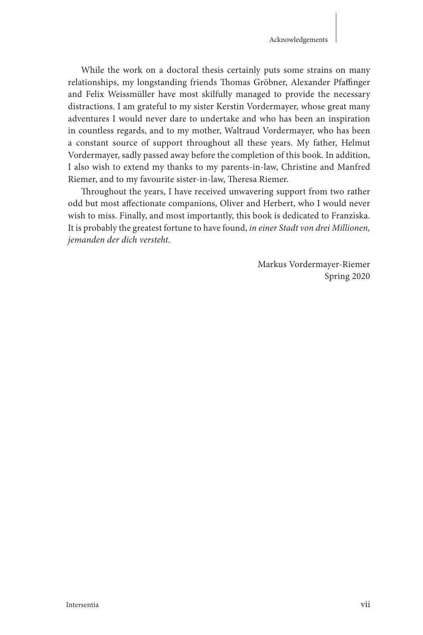While the work on a doctoral thesis certainly puts some strains on many relationships, my longstanding friends Thomas Gröbner, Alexander Pfaffinger and Felix Weissmüller have most skilfully managed to provide the necessary distractions. I am grateful to my sister Kerstin Vordermayer, whose great many adventures I would never dare to undertake and who has been an inspiration in countless regards, and to my mother, Waltraud Vordermayer, who has been a constant source of support throughout all these years. My father, Helmut Vordermayer, sadly passed away before the completion of this book. In addition, I also wish to extend my thanks to my parents-in-law, Christine and Manfred Riemer, and to my favourite sister-in-law, Theresa Riemer.

Throughout the years, I have received unwavering support from two rather odd but most affectionate companions, Oliver and Herbert, who I would never wish to miss. Finally, and most importantly, this book is dedicated to Franziska. It is probably the greatest fortune to have found, *in einer Stadt von drei Millionen, jemanden der dich versteht* .

> Markus Vordermayer-Riemer Spring 2020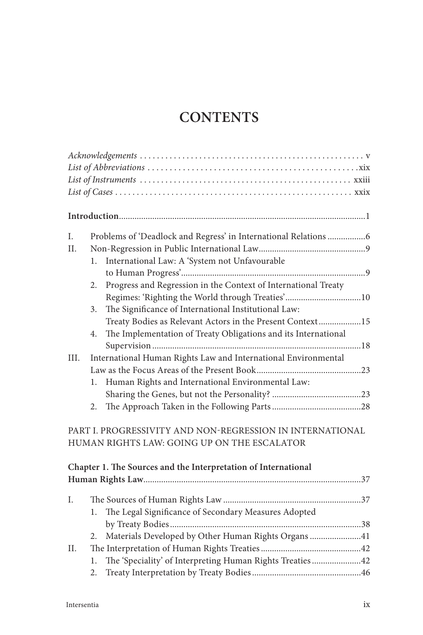## **CONTENTS**

| I.   | Problems of 'Deadlock and Regress' in International Relations 6      |
|------|----------------------------------------------------------------------|
| II.  |                                                                      |
|      | International Law: A 'System not Unfavourable<br>1.                  |
|      |                                                                      |
|      | Progress and Regression in the Context of International Treaty<br>2. |
|      | Regimes: 'Righting the World through Treaties'10                     |
|      | The Significance of International Institutional Law:<br>3.           |
|      | Treaty Bodies as Relevant Actors in the Present Context15            |
|      | The Implementation of Treaty Obligations and its International<br>4. |
|      |                                                                      |
| III. | International Human Rights Law and International Environmental       |
|      |                                                                      |
|      | Human Rights and International Environmental Law:<br>1.              |
|      |                                                                      |
|      | 2.                                                                   |
|      | PART I. PROGRESSIVITY AND NON-REGRESSION IN INTERNATIONAL            |
|      | HUMAN RIGHTS LAW: GOING UP ON THE ESCALATOR                          |
|      | Chapter 1. The Sources and the Interpretation of International       |
|      |                                                                      |
|      |                                                                      |
| I.   |                                                                      |
|      | The Legal Significance of Secondary Measures Adopted<br>1.           |
|      |                                                                      |
|      | Materials Developed by Other Human Rights Organs 41<br>2.            |
| Н.   |                                                                      |
|      | The 'Speciality' of Interpreting Human Rights Treaties42<br>1.       |
|      | 2.                                                                   |
|      |                                                                      |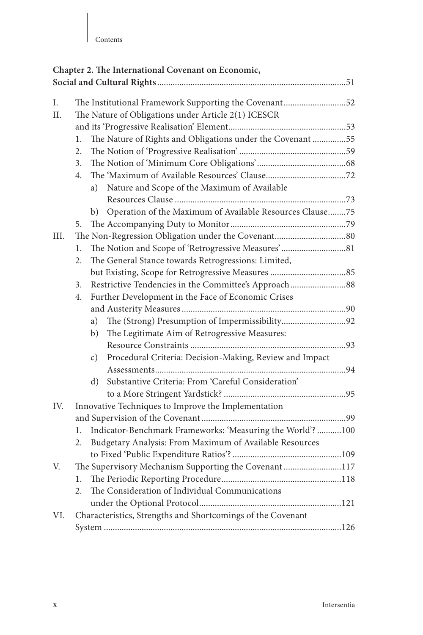|                                                            |                                                       | Chapter 2. The International Covenant on Economic,                         |  |  |  |
|------------------------------------------------------------|-------------------------------------------------------|----------------------------------------------------------------------------|--|--|--|
|                                                            |                                                       |                                                                            |  |  |  |
|                                                            |                                                       |                                                                            |  |  |  |
| L.                                                         | The Institutional Framework Supporting the Covenant52 |                                                                            |  |  |  |
| The Nature of Obligations under Article 2(1) ICESCR<br>II. |                                                       |                                                                            |  |  |  |
|                                                            |                                                       |                                                                            |  |  |  |
|                                                            | 1.                                                    | The Nature of Rights and Obligations under the Covenant 55                 |  |  |  |
|                                                            | 2.                                                    |                                                                            |  |  |  |
|                                                            | 3.                                                    |                                                                            |  |  |  |
|                                                            | 4.                                                    |                                                                            |  |  |  |
|                                                            |                                                       | Nature and Scope of the Maximum of Available<br>a)                         |  |  |  |
|                                                            |                                                       |                                                                            |  |  |  |
|                                                            |                                                       | b) Operation of the Maximum of Available Resources Clause75                |  |  |  |
|                                                            | 5.                                                    |                                                                            |  |  |  |
| III.                                                       |                                                       |                                                                            |  |  |  |
|                                                            | 1.                                                    |                                                                            |  |  |  |
|                                                            | 2.                                                    | The General Stance towards Retrogressions: Limited,                        |  |  |  |
|                                                            |                                                       |                                                                            |  |  |  |
|                                                            | 3.                                                    | Restrictive Tendencies in the Committee's Approach88                       |  |  |  |
|                                                            | 4.                                                    | Further Development in the Face of Economic Crises                         |  |  |  |
|                                                            |                                                       |                                                                            |  |  |  |
|                                                            |                                                       | The (Strong) Presumption of Impermissibility92<br>a)                       |  |  |  |
|                                                            |                                                       | The Legitimate Aim of Retrogressive Measures:<br>b)                        |  |  |  |
|                                                            |                                                       |                                                                            |  |  |  |
|                                                            |                                                       | Procedural Criteria: Decision-Making, Review and Impact<br>$\mathcal{C}$ ) |  |  |  |
|                                                            |                                                       |                                                                            |  |  |  |
|                                                            |                                                       | Substantive Criteria: From 'Careful Consideration'<br>d)                   |  |  |  |
|                                                            |                                                       |                                                                            |  |  |  |
| IV.                                                        |                                                       | Innovative Techniques to Improve the Implementation                        |  |  |  |
|                                                            |                                                       |                                                                            |  |  |  |
|                                                            | 1.                                                    | Indicator-Benchmark Frameworks: 'Measuring the World'?100                  |  |  |  |
|                                                            | 2.                                                    | Budgetary Analysis: From Maximum of Available Resources                    |  |  |  |
|                                                            |                                                       |                                                                            |  |  |  |
| V.                                                         |                                                       | The Supervisory Mechanism Supporting the Covenant117                       |  |  |  |
|                                                            | 1.                                                    |                                                                            |  |  |  |
|                                                            | 2.                                                    | The Consideration of Individual Communications                             |  |  |  |
|                                                            |                                                       |                                                                            |  |  |  |
| VI.                                                        |                                                       | Characteristics, Strengths and Shortcomings of the Covenant                |  |  |  |
|                                                            |                                                       |                                                                            |  |  |  |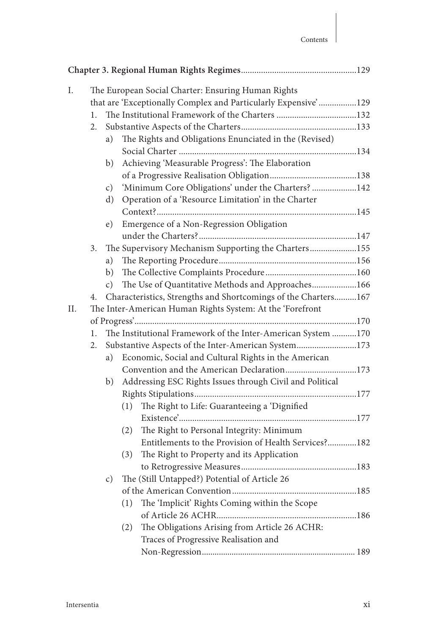| Ι.  |    |    | The European Social Charter: Ensuring Human Rights             |  |
|-----|----|----|----------------------------------------------------------------|--|
|     |    |    | that are 'Exceptionally Complex and Particularly Expensive'129 |  |
|     | 1. |    |                                                                |  |
|     | 2. |    |                                                                |  |
|     |    | a) | The Rights and Obligations Enunciated in the (Revised)         |  |
|     |    |    |                                                                |  |
|     |    | b) | Achieving 'Measurable Progress': The Elaboration               |  |
|     |    |    |                                                                |  |
|     |    | c) | 'Minimum Core Obligations' under the Charters? 142             |  |
|     |    | d) | Operation of a 'Resource Limitation' in the Charter            |  |
|     |    |    |                                                                |  |
|     |    | e) | Emergence of a Non-Regression Obligation                       |  |
|     |    |    |                                                                |  |
|     | 3. |    | The Supervisory Mechanism Supporting the Charters155           |  |
|     |    | a) |                                                                |  |
|     |    | b) |                                                                |  |
|     |    | c) | The Use of Quantitative Methods and Approaches166              |  |
|     | 4. |    | Characteristics, Strengths and Shortcomings of the Charters167 |  |
| II. |    |    | The Inter-American Human Rights System: At the 'Forefront      |  |
|     |    |    |                                                                |  |
|     | 1. |    | The Institutional Framework of the Inter-American System 170   |  |
|     | 2. |    | Substantive Aspects of the Inter-American System173            |  |
|     |    | a) | Economic, Social and Cultural Rights in the American           |  |
|     |    |    | Convention and the American Declaration173                     |  |
|     |    | b) | Addressing ESC Rights Issues through Civil and Political       |  |
|     |    |    |                                                                |  |
|     |    |    | The Right to Life: Guaranteeing a 'Dignified<br>(1)            |  |
|     |    |    |                                                                |  |
|     |    |    | The Right to Personal Integrity: Minimum<br>(2)                |  |
|     |    |    | Entitlements to the Provision of Health Services?182           |  |
|     |    |    | The Right to Property and its Application<br>(3)               |  |
|     |    |    |                                                                |  |
|     |    | c) | The (Still Untapped?) Potential of Article 26                  |  |
|     |    |    |                                                                |  |
|     |    |    | The 'Implicit' Rights Coming within the Scope<br>(1)           |  |
|     |    |    |                                                                |  |
|     |    |    | The Obligations Arising from Article 26 ACHR:<br>(2)           |  |
|     |    |    | Traces of Progressive Realisation and                          |  |
|     |    |    |                                                                |  |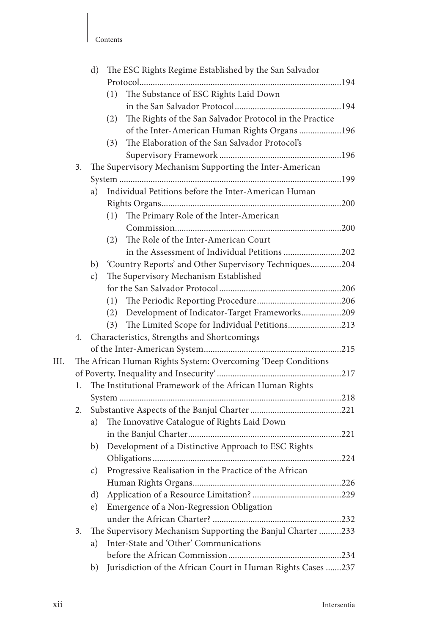|      |    | $\rm d)$      | The ESC Rights Regime Established by the San Salvador          |  |
|------|----|---------------|----------------------------------------------------------------|--|
|      |    |               |                                                                |  |
|      |    |               | The Substance of ESC Rights Laid Down<br>(1)                   |  |
|      |    |               |                                                                |  |
|      |    |               | The Rights of the San Salvador Protocol in the Practice<br>(2) |  |
|      |    |               | of the Inter-American Human Rights Organs 196                  |  |
|      |    |               | The Elaboration of the San Salvador Protocol's<br>(3)          |  |
|      |    |               |                                                                |  |
|      | 3. |               | The Supervisory Mechanism Supporting the Inter-American        |  |
|      |    |               |                                                                |  |
|      |    | a)            | Individual Petitions before the Inter-American Human           |  |
|      |    |               |                                                                |  |
|      |    |               | The Primary Role of the Inter-American<br>(1)                  |  |
|      |    |               |                                                                |  |
|      |    |               | The Role of the Inter-American Court<br>(2)                    |  |
|      |    |               | in the Assessment of Individual Petitions 202                  |  |
|      |    |               | b) 'Country Reports' and Other Supervisory Techniques204       |  |
|      |    | $\mathbf{c})$ | The Supervisory Mechanism Established                          |  |
|      |    |               |                                                                |  |
|      |    |               | (1)                                                            |  |
|      |    |               | Development of Indicator-Target Frameworks209<br>(2)           |  |
|      |    |               | The Limited Scope for Individual Petitions213<br>(3)           |  |
|      | 4. |               | Characteristics, Strengths and Shortcomings                    |  |
|      |    |               |                                                                |  |
| III. |    |               | The African Human Rights System: Overcoming 'Deep Conditions   |  |
|      |    |               |                                                                |  |
|      | 1. |               | The Institutional Framework of the African Human Rights        |  |
|      |    |               |                                                                |  |
|      |    |               |                                                                |  |
|      |    | a)            | The Innovative Catalogue of Rights Laid Down                   |  |
|      |    |               |                                                                |  |
|      |    |               |                                                                |  |
|      |    | b)            | Development of a Distinctive Approach to ESC Rights            |  |
|      |    |               |                                                                |  |
|      |    | C)            | Progressive Realisation in the Practice of the African         |  |
|      |    |               |                                                                |  |
|      |    | $\rm d)$      |                                                                |  |
|      |    | $\epsilon$ )  | Emergence of a Non-Regression Obligation                       |  |
|      |    |               |                                                                |  |
|      | 3. |               | The Supervisory Mechanism Supporting the Banjul Charter 233    |  |
|      |    | a)            | Inter-State and 'Other' Communications                         |  |
|      |    |               |                                                                |  |
|      |    | b)            | Jurisdiction of the African Court in Human Rights Cases 237    |  |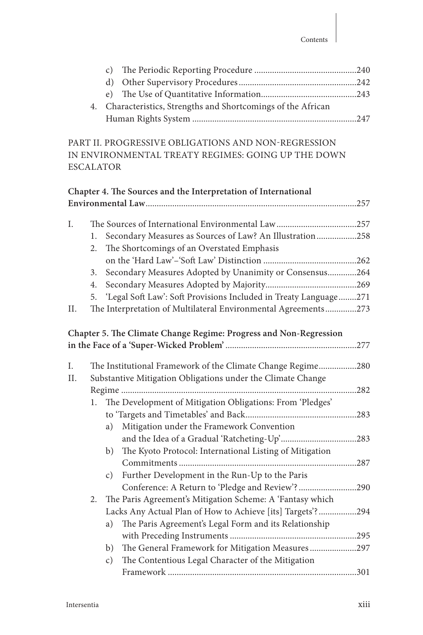|  | 4. Characteristics, Strengths and Shortcomings of the African |  |
|--|---------------------------------------------------------------|--|
|  |                                                               |  |

PART II. PROGRESSIVE OBLIGATIONS AND NON-REGRESSION IN ENVIRONMENTAL TREATY REGIMES: GOING UP THE DOWN ESCALATOR

|     |                                                                    | Chapter 4. The Sources and the Interpretation of International    |  |  |
|-----|--------------------------------------------------------------------|-------------------------------------------------------------------|--|--|
|     |                                                                    |                                                                   |  |  |
|     |                                                                    |                                                                   |  |  |
| Ι.  |                                                                    |                                                                   |  |  |
|     | 1.                                                                 | Secondary Measures as Sources of Law? An Illustration258          |  |  |
|     | 2.                                                                 | The Shortcomings of an Overstated Emphasis                        |  |  |
|     |                                                                    |                                                                   |  |  |
|     | 3.                                                                 | Secondary Measures Adopted by Unanimity or Consensus264           |  |  |
|     | 4.                                                                 |                                                                   |  |  |
|     | 5.                                                                 | 'Legal Soft Law': Soft Provisions Included in Treaty Language271  |  |  |
| Π.  |                                                                    | The Interpretation of Multilateral Environmental Agreements273    |  |  |
|     |                                                                    |                                                                   |  |  |
|     |                                                                    | Chapter 5. The Climate Change Regime: Progress and Non-Regression |  |  |
|     |                                                                    |                                                                   |  |  |
| Ι.  |                                                                    |                                                                   |  |  |
| II. |                                                                    | The Institutional Framework of the Climate Change Regime280       |  |  |
|     | Substantive Mitigation Obligations under the Climate Change<br>282 |                                                                   |  |  |
|     | The Development of Mitigation Obligations: From 'Pledges'<br>1.    |                                                                   |  |  |
|     |                                                                    |                                                                   |  |  |
|     |                                                                    |                                                                   |  |  |
|     |                                                                    | Mitigation under the Framework Convention<br>a)                   |  |  |
|     |                                                                    |                                                                   |  |  |
|     |                                                                    | The Kyoto Protocol: International Listing of Mitigation<br>b)     |  |  |
|     |                                                                    |                                                                   |  |  |
|     |                                                                    | Further Development in the Run-Up to the Paris<br>c)              |  |  |
|     |                                                                    | Conference: A Return to 'Pledge and Review'?290                   |  |  |
|     | 2.                                                                 | The Paris Agreement's Mitigation Scheme: A 'Fantasy which         |  |  |
|     |                                                                    | Lacks Any Actual Plan of How to Achieve [its] Targets'?294        |  |  |
|     |                                                                    | The Paris Agreement's Legal Form and its Relationship<br>a)       |  |  |
|     |                                                                    |                                                                   |  |  |
|     |                                                                    | The General Framework for Mitigation Measures297<br>b)            |  |  |
|     |                                                                    | The Contentious Legal Character of the Mitigation<br>c)           |  |  |
|     |                                                                    |                                                                   |  |  |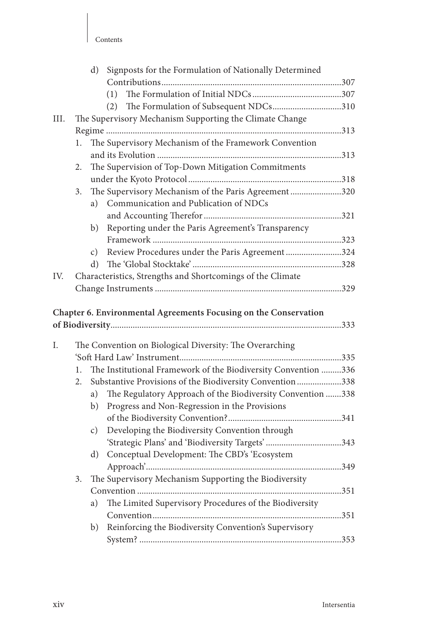| nnrenrs |
|---------|
|---------|

|      |    | $\rm d$ )       | Signposts for the Formulation of Nationally Determined           |  |
|------|----|-----------------|------------------------------------------------------------------|--|
|      |    |                 |                                                                  |  |
|      |    |                 |                                                                  |  |
|      |    |                 | The Formulation of Subsequent NDCs310<br>(2)                     |  |
| III. |    |                 | The Supervisory Mechanism Supporting the Climate Change          |  |
|      |    |                 |                                                                  |  |
|      | 1. |                 | The Supervisory Mechanism of the Framework Convention            |  |
|      |    |                 |                                                                  |  |
|      | 2. |                 | The Supervision of Top-Down Mitigation Commitments               |  |
|      |    |                 |                                                                  |  |
|      | 3. |                 | The Supervisory Mechanism of the Paris Agreement320              |  |
|      |    | a)              | Communication and Publication of NDCs                            |  |
|      |    |                 |                                                                  |  |
|      |    | b)              | Reporting under the Paris Agreement's Transparency               |  |
|      |    |                 |                                                                  |  |
|      |    | $\mathcal{C}$ ) | Review Procedures under the Paris Agreement 324                  |  |
|      |    | d)              |                                                                  |  |
| IV.  |    |                 | Characteristics, Strengths and Shortcomings of the Climate       |  |
|      |    |                 |                                                                  |  |
|      |    |                 | Chapter 6. Environmental Agreements Focusing on the Conservation |  |
| Ι.   |    |                 | The Convention on Biological Diversity: The Overarching          |  |
|      |    |                 |                                                                  |  |
|      | 1. |                 | The Institutional Framework of the Biodiversity Convention 336   |  |
|      | 2. |                 | Substantive Provisions of the Biodiversity Convention338         |  |
|      |    | a)              | The Regulatory Approach of the Biodiversity Convention 338       |  |
|      |    | b)              | Progress and Non-Regression in the Provisions                    |  |
|      |    |                 |                                                                  |  |
|      |    |                 |                                                                  |  |
|      |    | c)              | Developing the Biodiversity Convention through                   |  |
|      |    |                 |                                                                  |  |
|      |    | d)              | Conceptual Development: The CBD's 'Ecosystem                     |  |
|      |    |                 |                                                                  |  |
|      | 3. |                 | The Supervisory Mechanism Supporting the Biodiversity            |  |
|      |    |                 |                                                                  |  |
|      |    | a)              | The Limited Supervisory Procedures of the Biodiversity           |  |
|      |    |                 |                                                                  |  |
|      |    | b)              | Reinforcing the Biodiversity Convention's Supervisory            |  |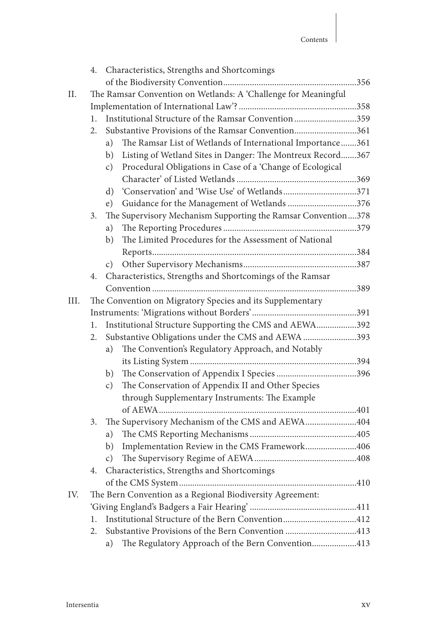|      |                                                                | 4. Characteristics, Strengths and Shortcomings                               |  |  |  |  |
|------|----------------------------------------------------------------|------------------------------------------------------------------------------|--|--|--|--|
|      |                                                                |                                                                              |  |  |  |  |
| П.   | The Ramsar Convention on Wetlands: A 'Challenge for Meaningful |                                                                              |  |  |  |  |
|      |                                                                |                                                                              |  |  |  |  |
|      | 1.                                                             | Institutional Structure of the Ramsar Convention 359                         |  |  |  |  |
|      | 2.                                                             | Substantive Provisions of the Ramsar Convention361                           |  |  |  |  |
|      |                                                                | The Ramsar List of Wetlands of International Importance361<br>a)             |  |  |  |  |
|      |                                                                | Listing of Wetland Sites in Danger: The Montreux Record367<br>b)             |  |  |  |  |
|      |                                                                | Procedural Obligations in Case of a 'Change of Ecological<br>$\mathcal{C}$ ) |  |  |  |  |
|      |                                                                |                                                                              |  |  |  |  |
|      |                                                                | d)                                                                           |  |  |  |  |
|      |                                                                | Guidance for the Management of Wetlands 376<br>e)                            |  |  |  |  |
|      | 3.                                                             | The Supervisory Mechanism Supporting the Ramsar Convention378                |  |  |  |  |
|      |                                                                | a)                                                                           |  |  |  |  |
|      |                                                                | The Limited Procedures for the Assessment of National<br>b)                  |  |  |  |  |
|      |                                                                |                                                                              |  |  |  |  |
|      |                                                                | c)                                                                           |  |  |  |  |
|      | 4.                                                             | Characteristics, Strengths and Shortcomings of the Ramsar                    |  |  |  |  |
|      |                                                                |                                                                              |  |  |  |  |
| III. | The Convention on Migratory Species and its Supplementary      |                                                                              |  |  |  |  |
|      |                                                                |                                                                              |  |  |  |  |
|      | 1.                                                             | Institutional Structure Supporting the CMS and AEWA392                       |  |  |  |  |
|      | 2.                                                             | Substantive Obligations under the CMS and AEWA 393                           |  |  |  |  |
|      |                                                                | The Convention's Regulatory Approach, and Notably<br>a)                      |  |  |  |  |
|      |                                                                |                                                                              |  |  |  |  |
|      |                                                                | b)                                                                           |  |  |  |  |
|      |                                                                | The Conservation of Appendix II and Other Species<br>$\mathcal{C}$ )         |  |  |  |  |
|      |                                                                | through Supplementary Instruments: The Example                               |  |  |  |  |
|      |                                                                |                                                                              |  |  |  |  |
|      | 3.                                                             | The Supervisory Mechanism of the CMS and AEWA404                             |  |  |  |  |
|      |                                                                | a)                                                                           |  |  |  |  |
|      |                                                                | Implementation Review in the CMS Framework406<br>b)                          |  |  |  |  |
|      |                                                                | c)                                                                           |  |  |  |  |
|      | 4.                                                             | Characteristics, Strengths and Shortcomings                                  |  |  |  |  |
|      |                                                                |                                                                              |  |  |  |  |
| IV.  |                                                                | The Bern Convention as a Regional Biodiversity Agreement:                    |  |  |  |  |
|      |                                                                |                                                                              |  |  |  |  |
|      | 1.                                                             | Institutional Structure of the Bern Convention412                            |  |  |  |  |
|      | 2.                                                             | Substantive Provisions of the Bern Convention 413                            |  |  |  |  |
|      |                                                                | The Regulatory Approach of the Bern Convention413<br>a)                      |  |  |  |  |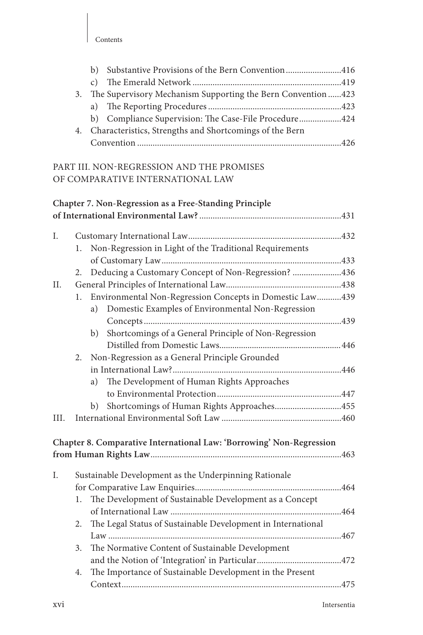|    | b) Substantive Provisions of the Bern Convention416         |  |
|----|-------------------------------------------------------------|--|
|    |                                                             |  |
| 3. | The Supervisory Mechanism Supporting the Bern Convention423 |  |
|    |                                                             |  |
|    | b) Compliance Supervision: The Case-File Procedure424       |  |
| 4. | Characteristics, Strengths and Shortcomings of the Bern     |  |
|    |                                                             |  |

## PART III. NON-REGRESSION AND THE PROMISES OF COMPARATIVE INTERNATIONAL LAW

|      |    |    | Chapter 7. Non-Regression as a Free-Standing Principle               |  |
|------|----|----|----------------------------------------------------------------------|--|
|      |    |    |                                                                      |  |
|      |    |    |                                                                      |  |
| Ι.   |    |    |                                                                      |  |
|      | 1. |    | Non-Regression in Light of the Traditional Requirements              |  |
|      |    |    |                                                                      |  |
|      | 2. |    | Deducing a Customary Concept of Non-Regression? 436                  |  |
| II.  |    |    |                                                                      |  |
|      | 1. |    | Environmental Non-Regression Concepts in Domestic Law439             |  |
|      |    | a) | Domestic Examples of Environmental Non-Regression                    |  |
|      |    |    |                                                                      |  |
|      |    | b) | Shortcomings of a General Principle of Non-Regression                |  |
|      |    |    |                                                                      |  |
|      | 2. |    | Non-Regression as a General Principle Grounded                       |  |
|      |    |    |                                                                      |  |
|      |    | a) | The Development of Human Rights Approaches                           |  |
|      |    |    |                                                                      |  |
|      |    | b) | Shortcomings of Human Rights Approaches455                           |  |
| III. |    |    |                                                                      |  |
|      |    |    |                                                                      |  |
|      |    |    | Chapter 8. Comparative International Law: 'Borrowing' Non-Regression |  |
|      |    |    |                                                                      |  |
|      |    |    |                                                                      |  |
| I.   |    |    | Sustainable Development as the Underpinning Rationale                |  |
|      |    |    |                                                                      |  |
|      | 1. |    | The Development of Sustainable Development as a Concept              |  |
|      |    |    |                                                                      |  |
|      | 2. |    | The Legal Status of Sustainable Development in International         |  |
|      |    |    |                                                                      |  |
|      | 3. |    | The Normative Content of Sustainable Development                     |  |
|      |    |    |                                                                      |  |
|      | 4. |    | The Importance of Sustainable Development in the Present             |  |
|      |    |    |                                                                      |  |
|      |    |    |                                                                      |  |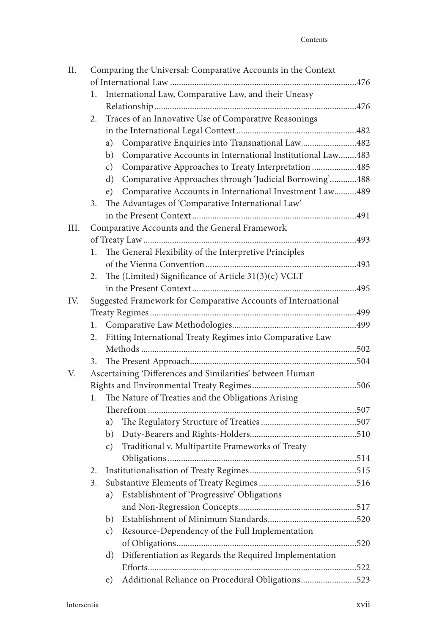| II.  | Comparing the Universal: Comparative Accounts in the Context |                                                                     |  |
|------|--------------------------------------------------------------|---------------------------------------------------------------------|--|
|      |                                                              |                                                                     |  |
|      | 1.                                                           | International Law, Comparative Law, and their Uneasy                |  |
|      |                                                              |                                                                     |  |
|      | 2.                                                           | Traces of an Innovative Use of Comparative Reasonings               |  |
|      |                                                              |                                                                     |  |
|      |                                                              | Comparative Enquiries into Transnational Law482<br>a)               |  |
|      |                                                              | Comparative Accounts in International Institutional Law483<br>b)    |  |
|      |                                                              | Comparative Approaches to Treaty Interpretation 485<br>c)           |  |
|      |                                                              | Comparative Approaches through 'Judicial Borrowing'488<br>d)        |  |
|      |                                                              | e) Comparative Accounts in International Investment Law489          |  |
|      | 3.                                                           | The Advantages of 'Comparative International Law'                   |  |
|      |                                                              |                                                                     |  |
| III. |                                                              | Comparative Accounts and the General Framework                      |  |
|      |                                                              |                                                                     |  |
|      | 1.                                                           | The General Flexibility of the Interpretive Principles              |  |
|      |                                                              |                                                                     |  |
|      | 2.                                                           | The (Limited) Significance of Article 31(3)(c) VCLT                 |  |
|      |                                                              |                                                                     |  |
| IV.  |                                                              | Suggested Framework for Comparative Accounts of International       |  |
|      |                                                              |                                                                     |  |
|      | 1.                                                           |                                                                     |  |
|      | 2.                                                           | Fitting International Treaty Regimes into Comparative Law           |  |
|      |                                                              |                                                                     |  |
|      | 3.                                                           |                                                                     |  |
| V.   |                                                              | Ascertaining 'Differences and Similarities' between Human           |  |
|      |                                                              |                                                                     |  |
|      | 1.                                                           | The Nature of Treaties and the Obligations Arising                  |  |
|      |                                                              |                                                                     |  |
|      |                                                              | a)                                                                  |  |
|      |                                                              | b)                                                                  |  |
|      |                                                              | Traditional v. Multipartite Frameworks of Treaty<br>$\mathcal{C}$ ) |  |
|      |                                                              |                                                                     |  |
|      | 2.                                                           |                                                                     |  |
|      | 3.                                                           |                                                                     |  |
|      |                                                              | Establishment of 'Progressive' Obligations<br>a)                    |  |
|      |                                                              |                                                                     |  |
|      |                                                              | b)                                                                  |  |
|      |                                                              | Resource-Dependency of the Full Implementation<br>c)                |  |
|      |                                                              |                                                                     |  |
|      |                                                              | Differentiation as Regards the Required Implementation<br>d)        |  |
|      |                                                              |                                                                     |  |
|      |                                                              | Additional Reliance on Procedural Obligations523<br>e)              |  |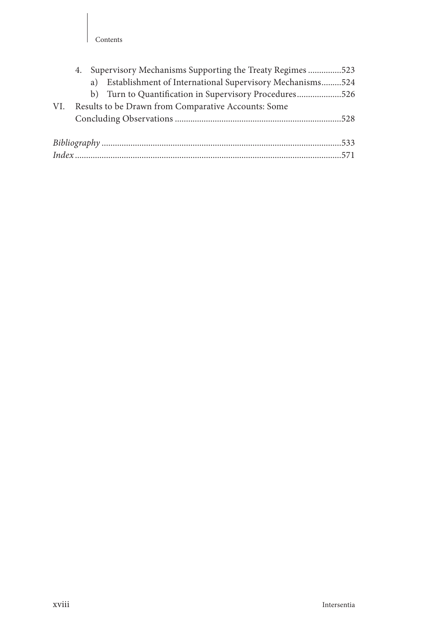#### Contents

|     | 4.                                                  |  | Supervisory Mechanisms Supporting the Treaty Regimes 523    |  |
|-----|-----------------------------------------------------|--|-------------------------------------------------------------|--|
|     |                                                     |  | a) Establishment of International Supervisory Mechanisms524 |  |
|     |                                                     |  | b) Turn to Quantification in Supervisory Procedures526      |  |
| VI. | Results to be Drawn from Comparative Accounts: Some |  |                                                             |  |
|     |                                                     |  |                                                             |  |
|     |                                                     |  |                                                             |  |
|     |                                                     |  |                                                             |  |
|     |                                                     |  |                                                             |  |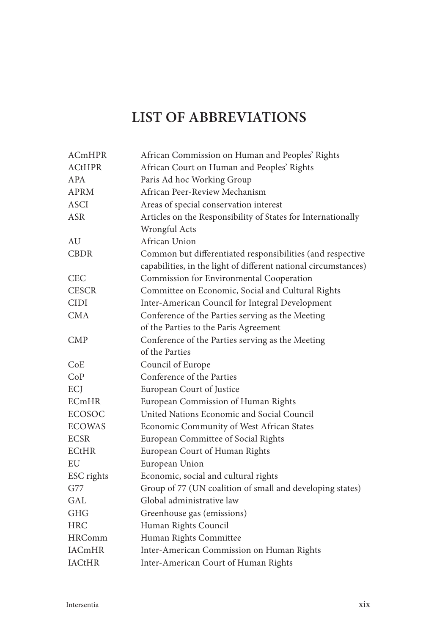## **LIST OF ABBREVIATIONS**

| <b>ACmHPR</b> | African Commission on Human and Peoples' Rights                 |
|---------------|-----------------------------------------------------------------|
| <b>ACtHPR</b> | African Court on Human and Peoples' Rights                      |
| <b>APA</b>    | Paris Ad hoc Working Group                                      |
| <b>APRM</b>   | African Peer-Review Mechanism                                   |
| <b>ASCI</b>   | Areas of special conservation interest                          |
| <b>ASR</b>    | Articles on the Responsibility of States for Internationally    |
|               | Wrongful Acts                                                   |
| AU            | African Union                                                   |
| <b>CBDR</b>   | Common but differentiated responsibilities (and respective      |
|               | capabilities, in the light of different national circumstances) |
| <b>CEC</b>    | Commission for Environmental Cooperation                        |
| <b>CESCR</b>  | Committee on Economic, Social and Cultural Rights               |
| CIDI          | Inter-American Council for Integral Development                 |
| <b>CMA</b>    | Conference of the Parties serving as the Meeting                |
|               | of the Parties to the Paris Agreement                           |
| <b>CMP</b>    | Conference of the Parties serving as the Meeting                |
|               | of the Parties                                                  |
| CoE           | Council of Europe                                               |
| CoP           | Conference of the Parties                                       |
| ECJ           | European Court of Justice                                       |
| <b>ECmHR</b>  | European Commission of Human Rights                             |
| <b>ECOSOC</b> | United Nations Economic and Social Council                      |
| <b>ECOWAS</b> | Economic Community of West African States                       |
| <b>ECSR</b>   | European Committee of Social Rights                             |
| <b>ECtHR</b>  | European Court of Human Rights                                  |
| EU            | European Union                                                  |
| ESC rights    | Economic, social and cultural rights                            |
| G77           | Group of 77 (UN coalition of small and developing states)       |
| GAL           | Global administrative law                                       |
| <b>GHG</b>    | Greenhouse gas (emissions)                                      |
| <b>HRC</b>    | Human Rights Council                                            |
| <b>HRComm</b> | Human Rights Committee                                          |
| <b>IACmHR</b> | Inter-American Commission on Human Rights                       |
| <b>IACtHR</b> | Inter-American Court of Human Rights                            |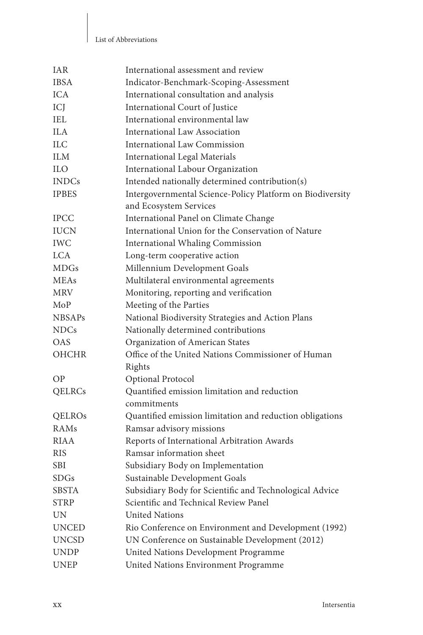#### List of Abbreviations

| <b>IAR</b>    | International assessment and review                       |
|---------------|-----------------------------------------------------------|
| <b>IBSA</b>   | Indicator-Benchmark-Scoping-Assessment                    |
| <b>ICA</b>    | International consultation and analysis                   |
| ICJ           | International Court of Justice                            |
| <b>IEL</b>    | International environmental law                           |
| ILA.          | International Law Association                             |
| <b>ILC</b>    | <b>International Law Commission</b>                       |
| <b>ILM</b>    | <b>International Legal Materials</b>                      |
| ILO.          | International Labour Organization                         |
| <b>INDCs</b>  | Intended nationally determined contribution(s)            |
| <b>IPBES</b>  | Intergovernmental Science-Policy Platform on Biodiversity |
|               | and Ecosystem Services                                    |
| <b>IPCC</b>   | International Panel on Climate Change                     |
| <b>IUCN</b>   | International Union for the Conservation of Nature        |
| <b>IWC</b>    | <b>International Whaling Commission</b>                   |
| <b>LCA</b>    | Long-term cooperative action                              |
| <b>MDGs</b>   | Millennium Development Goals                              |
| <b>MEAs</b>   | Multilateral environmental agreements                     |
| <b>MRV</b>    | Monitoring, reporting and verification                    |
| MoP           | Meeting of the Parties                                    |
| <b>NBSAPs</b> | National Biodiversity Strategies and Action Plans         |
| <b>NDCs</b>   | Nationally determined contributions                       |
| <b>OAS</b>    | Organization of American States                           |
| <b>OHCHR</b>  | Office of the United Nations Commissioner of Human        |
|               | Rights                                                    |
| ΟP            | Optional Protocol                                         |
| QELRCs        | Quantified emission limitation and reduction              |
|               | commitments                                               |
| QELROS        | Quantified emission limitation and reduction obligations  |
| RAMs          | Ramsar advisory missions                                  |
| <b>RIAA</b>   | Reports of International Arbitration Awards               |
| <b>RIS</b>    | Ramsar information sheet                                  |
| <b>SBI</b>    | Subsidiary Body on Implementation                         |
| SDGs          | Sustainable Development Goals                             |
| <b>SBSTA</b>  | Subsidiary Body for Scientific and Technological Advice   |
| <b>STRP</b>   | Scientific and Technical Review Panel                     |
| UN            | <b>United Nations</b>                                     |
| <b>UNCED</b>  | Rio Conference on Environment and Development (1992)      |
| <b>UNCSD</b>  | UN Conference on Sustainable Development (2012)           |
| <b>UNDP</b>   | United Nations Development Programme                      |
| <b>UNEP</b>   | United Nations Environment Programme                      |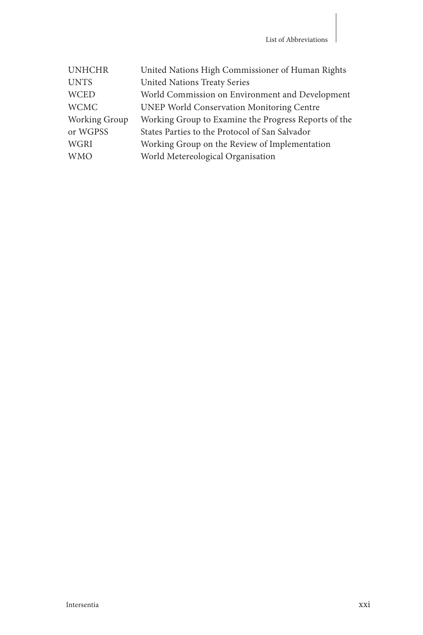| <b>UNHCHR</b> | United Nations High Commissioner of Human Rights     |
|---------------|------------------------------------------------------|
| <b>UNTS</b>   | <b>United Nations Treaty Series</b>                  |
| <b>WCED</b>   | World Commission on Environment and Development      |
| <b>WCMC</b>   | <b>UNEP World Conservation Monitoring Centre</b>     |
| Working Group | Working Group to Examine the Progress Reports of the |
| or WGPSS      | States Parties to the Protocol of San Salvador       |
| WGRI          | Working Group on the Review of Implementation        |
| <b>WMO</b>    | World Metereological Organisation                    |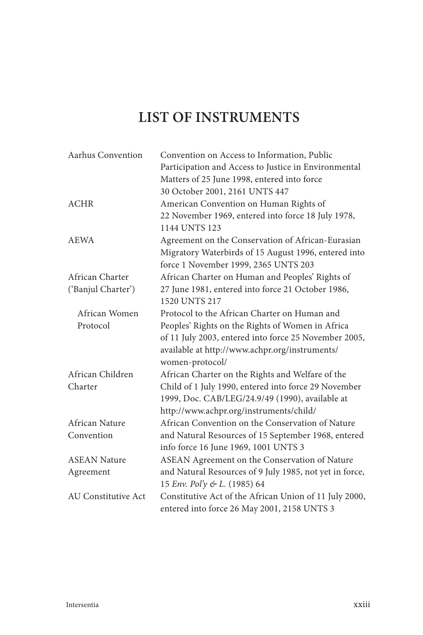## **LIST OF INSTRUMENTS**

| Aarhus Convention          | Convention on Access to Information, Public             |
|----------------------------|---------------------------------------------------------|
|                            | Participation and Access to Justice in Environmental    |
|                            | Matters of 25 June 1998, entered into force             |
|                            | 30 October 2001, 2161 UNTS 447                          |
| <b>ACHR</b>                | American Convention on Human Rights of                  |
|                            | 22 November 1969, entered into force 18 July 1978,      |
|                            | 1144 UNTS 123                                           |
| <b>AEWA</b>                | Agreement on the Conservation of African-Eurasian       |
|                            | Migratory Waterbirds of 15 August 1996, entered into    |
|                            | force 1 November 1999, 2365 UNTS 203                    |
| African Charter            | African Charter on Human and Peoples' Rights of         |
| ('Banjul Charter')         | 27 June 1981, entered into force 21 October 1986,       |
|                            | 1520 UNTS 217                                           |
| African Women              | Protocol to the African Charter on Human and            |
| Protocol                   | Peoples' Rights on the Rights of Women in Africa        |
|                            | of 11 July 2003, entered into force 25 November 2005,   |
|                            | available at http://www.achpr.org/instruments/          |
|                            | women-protocol/                                         |
| African Children           | African Charter on the Rights and Welfare of the        |
| Charter                    | Child of 1 July 1990, entered into force 29 November    |
|                            | 1999, Doc. CAB/LEG/24.9/49 (1990), available at         |
|                            | http://www.achpr.org/instruments/child/                 |
| African Nature             | African Convention on the Conservation of Nature        |
| Convention                 | and Natural Resources of 15 September 1968, entered     |
|                            | info force 16 June 1969, 1001 UNTS 3                    |
| <b>ASEAN Nature</b>        | ASEAN Agreement on the Conservation of Nature           |
| Agreement                  | and Natural Resources of 9 July 1985, not yet in force, |
|                            | 15 Env. Pol'y & L. (1985) 64                            |
| <b>AU Constitutive Act</b> | Constitutive Act of the African Union of 11 July 2000,  |
|                            | entered into force 26 May 2001, 2158 UNTS 3             |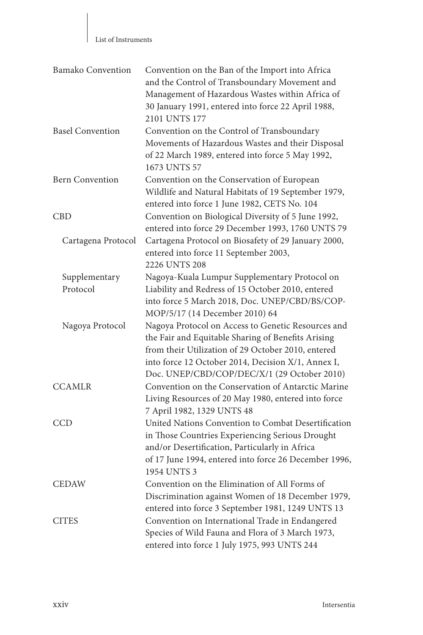| List of Instruments |
|---------------------|
|---------------------|

| <b>Bamako Convention</b> | Convention on the Ban of the Import into Africa<br>and the Control of Transboundary Movement and<br>Management of Hazardous Wastes within Africa of<br>30 January 1991, entered into force 22 April 1988,<br>2101 UNTS 177                                          |
|--------------------------|---------------------------------------------------------------------------------------------------------------------------------------------------------------------------------------------------------------------------------------------------------------------|
| <b>Basel Convention</b>  | Convention on the Control of Transboundary<br>Movements of Hazardous Wastes and their Disposal<br>of 22 March 1989, entered into force 5 May 1992,<br>1673 UNTS 57                                                                                                  |
| <b>Bern Convention</b>   | Convention on the Conservation of European<br>Wildlife and Natural Habitats of 19 September 1979,<br>entered into force 1 June 1982, CETS No. 104                                                                                                                   |
| CBD                      | Convention on Biological Diversity of 5 June 1992,<br>entered into force 29 December 1993, 1760 UNTS 79                                                                                                                                                             |
| Cartagena Protocol       | Cartagena Protocol on Biosafety of 29 January 2000,<br>entered into force 11 September 2003,<br>2226 UNTS 208                                                                                                                                                       |
| Supplementary            | Nagoya-Kuala Lumpur Supplementary Protocol on                                                                                                                                                                                                                       |
| Protocol                 | Liability and Redress of 15 October 2010, entered<br>into force 5 March 2018, Doc. UNEP/CBD/BS/COP-<br>MOP/5/17 (14 December 2010) 64                                                                                                                               |
| Nagoya Protocol          | Nagoya Protocol on Access to Genetic Resources and<br>the Fair and Equitable Sharing of Benefits Arising<br>from their Utilization of 29 October 2010, entered<br>into force 12 October 2014, Decision X/1, Annex I,<br>Doc. UNEP/CBD/COP/DEC/X/1 (29 October 2010) |
| <b>CCAMLR</b>            | Convention on the Conservation of Antarctic Marine<br>Living Resources of 20 May 1980, entered into force<br>7 April 1982, 1329 UNTS 48                                                                                                                             |
| CCD                      | United Nations Convention to Combat Desertification<br>in Those Countries Experiencing Serious Drought<br>and/or Desertification, Particularly in Africa<br>of 17 June 1994, entered into force 26 December 1996,<br>1954 UNTS 3                                    |
| <b>CEDAW</b>             | Convention on the Elimination of All Forms of<br>Discrimination against Women of 18 December 1979,<br>entered into force 3 September 1981, 1249 UNTS 13                                                                                                             |
| <b>CITES</b>             | Convention on International Trade in Endangered<br>Species of Wild Fauna and Flora of 3 March 1973,<br>entered into force 1 July 1975, 993 UNTS 244                                                                                                                 |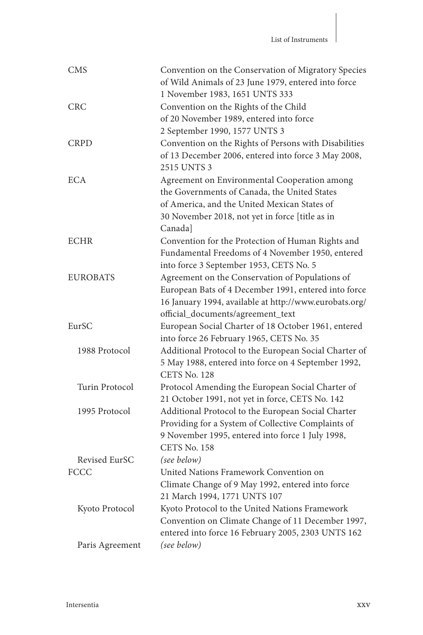| <b>CMS</b>      | Convention on the Conservation of Migratory Species    |
|-----------------|--------------------------------------------------------|
|                 | of Wild Animals of 23 June 1979, entered into force    |
|                 | 1 November 1983, 1651 UNTS 333                         |
| <b>CRC</b>      | Convention on the Rights of the Child                  |
|                 | of 20 November 1989, entered into force                |
|                 | 2 September 1990, 1577 UNTS 3                          |
| <b>CRPD</b>     | Convention on the Rights of Persons with Disabilities  |
|                 | of 13 December 2006, entered into force 3 May 2008,    |
|                 | 2515 UNTS 3                                            |
| <b>ECA</b>      | Agreement on Environmental Cooperation among           |
|                 | the Governments of Canada, the United States           |
|                 | of America, and the United Mexican States of           |
|                 | 30 November 2018, not yet in force [title as in        |
|                 | Canada]                                                |
| ECHR            | Convention for the Protection of Human Rights and      |
|                 | Fundamental Freedoms of 4 November 1950, entered       |
|                 | into force 3 September 1953, CETS No. 5                |
| <b>EUROBATS</b> | Agreement on the Conservation of Populations of        |
|                 | European Bats of 4 December 1991, entered into force   |
|                 | 16 January 1994, available at http://www.eurobats.org/ |
|                 | official_documents/agreement_text                      |
| EurSC           | European Social Charter of 18 October 1961, entered    |
|                 | into force 26 February 1965, CETS No. 35               |
| 1988 Protocol   | Additional Protocol to the European Social Charter of  |
|                 | 5 May 1988, entered into force on 4 September 1992,    |
|                 | CETS No. 128                                           |
| Turin Protocol  | Protocol Amending the European Social Charter of       |
|                 | 21 October 1991, not yet in force, CETS No. 142        |
| 1995 Protocol   | Additional Protocol to the European Social Charter     |
|                 | Providing for a System of Collective Complaints of     |
|                 | 9 November 1995, entered into force 1 July 1998,       |
|                 | CETS No. 158                                           |
|                 |                                                        |
| Revised EurSC   | (see below)                                            |
| FCCC            | United Nations Framework Convention on                 |
|                 | Climate Change of 9 May 1992, entered into force       |
|                 | 21 March 1994, 1771 UNTS 107                           |
| Kyoto Protocol  | Kyoto Protocol to the United Nations Framework         |
|                 | Convention on Climate Change of 11 December 1997,      |
|                 | entered into force 16 February 2005, 2303 UNTS 162     |
| Paris Agreement | (see below)                                            |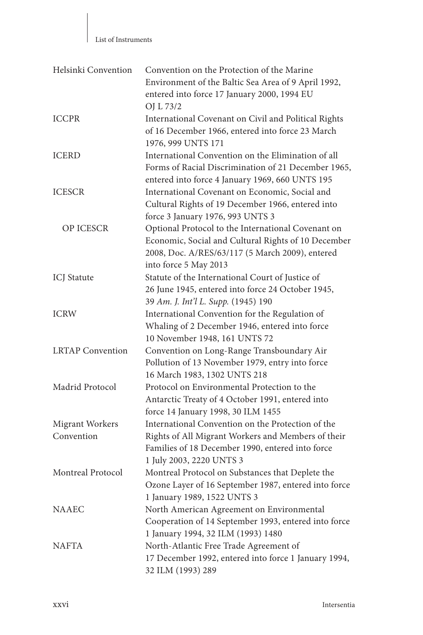| Helsinki Convention     | Convention on the Protection of the Marine<br>Environment of the Baltic Sea Area of 9 April 1992,<br>entered into force 17 January 2000, 1994 EU<br>OJ L 73/2                         |
|-------------------------|---------------------------------------------------------------------------------------------------------------------------------------------------------------------------------------|
| <b>ICCPR</b>            | International Covenant on Civil and Political Rights<br>of 16 December 1966, entered into force 23 March<br>1976, 999 UNTS 171                                                        |
| <b>ICERD</b>            | International Convention on the Elimination of all<br>Forms of Racial Discrimination of 21 December 1965,<br>entered into force 4 January 1969, 660 UNTS 195                          |
| <b>ICESCR</b>           | International Covenant on Economic, Social and<br>Cultural Rights of 19 December 1966, entered into<br>force 3 January 1976, 993 UNTS 3                                               |
| <b>OP ICESCR</b>        | Optional Protocol to the International Covenant on<br>Economic, Social and Cultural Rights of 10 December<br>2008, Doc. A/RES/63/117 (5 March 2009), entered<br>into force 5 May 2013 |
| <b>ICJ</b> Statute      | Statute of the International Court of Justice of<br>26 June 1945, entered into force 24 October 1945,<br>39 Am. J. Int'l L. Supp. (1945) 190                                          |
| <b>ICRW</b>             | International Convention for the Regulation of<br>Whaling of 2 December 1946, entered into force<br>10 November 1948, 161 UNTS 72                                                     |
| <b>LRTAP</b> Convention | Convention on Long-Range Transboundary Air<br>Pollution of 13 November 1979, entry into force<br>16 March 1983, 1302 UNTS 218                                                         |
| Madrid Protocol         | Protocol on Environmental Protection to the<br>Antarctic Treaty of 4 October 1991, entered into<br>force 14 January 1998, 30 ILM 1455                                                 |
| <b>Migrant Workers</b>  | International Convention on the Protection of the                                                                                                                                     |
| Convention              | Rights of All Migrant Workers and Members of their<br>Families of 18 December 1990, entered into force<br>1 July 2003, 2220 UNTS 3                                                    |
| Montreal Protocol       | Montreal Protocol on Substances that Deplete the<br>Ozone Layer of 16 September 1987, entered into force<br>1 January 1989, 1522 UNTS 3                                               |
| <b>NAAEC</b>            | North American Agreement on Environmental<br>Cooperation of 14 September 1993, entered into force<br>1 January 1994, 32 ILM (1993) 1480                                               |
| <b>NAFTA</b>            | North-Atlantic Free Trade Agreement of<br>17 December 1992, entered into force 1 January 1994,<br>32 ILM (1993) 289                                                                   |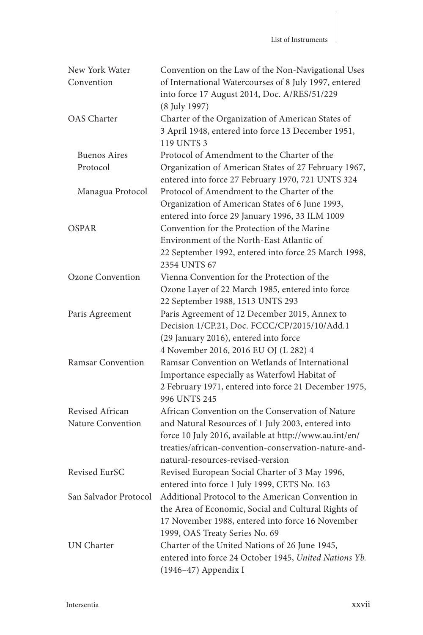| New York Water          | Convention on the Law of the Non-Navigational Uses     |
|-------------------------|--------------------------------------------------------|
| Convention              | of International Watercourses of 8 July 1997, entered  |
|                         | into force 17 August 2014, Doc. A/RES/51/229           |
|                         | (8 July 1997)                                          |
| <b>OAS</b> Charter      | Charter of the Organization of American States of      |
|                         | 3 April 1948, entered into force 13 December 1951,     |
|                         | 119 UNTS 3                                             |
| <b>Buenos Aires</b>     | Protocol of Amendment to the Charter of the            |
| Protocol                | Organization of American States of 27 February 1967,   |
|                         | entered into force 27 February 1970, 721 UNTS 324      |
| Managua Protocol        | Protocol of Amendment to the Charter of the            |
|                         | Organization of American States of 6 June 1993,        |
|                         | entered into force 29 January 1996, 33 ILM 1009        |
| OSPAR                   | Convention for the Protection of the Marine            |
|                         | Environment of the North-East Atlantic of              |
|                         | 22 September 1992, entered into force 25 March 1998,   |
|                         | 2354 UNTS 67                                           |
| <b>Ozone Convention</b> | Vienna Convention for the Protection of the            |
|                         | Ozone Layer of 22 March 1985, entered into force       |
|                         | 22 September 1988, 1513 UNTS 293                       |
| Paris Agreement         | Paris Agreement of 12 December 2015, Annex to          |
|                         | Decision 1/CP.21, Doc. FCCC/CP/2015/10/Add.1           |
|                         | (29 January 2016), entered into force                  |
|                         | 4 November 2016, 2016 EU OJ (L 282) 4                  |
| Ramsar Convention       | Ramsar Convention on Wetlands of International         |
|                         | Importance especially as Waterfowl Habitat of          |
|                         | 2 February 1971, entered into force 21 December 1975,  |
|                         | 996 UNTS 245                                           |
| Revised African         | African Convention on the Conservation of Nature       |
| Nature Convention       | and Natural Resources of 1 July 2003, entered into     |
|                         | force 10 July 2016, available at http://www.au.int/en/ |
|                         | treaties/african-convention-conservation-nature-and-   |
|                         | natural-resources-revised-version                      |
| Revised EurSC           | Revised European Social Charter of 3 May 1996,         |
|                         | entered into force 1 July 1999, CETS No. 163           |
| San Salvador Protocol   | Additional Protocol to the American Convention in      |
|                         | the Area of Economic, Social and Cultural Rights of    |
|                         | 17 November 1988, entered into force 16 November       |
|                         | 1999, OAS Treaty Series No. 69                         |
| UN Charter              | Charter of the United Nations of 26 June 1945,         |
|                         | entered into force 24 October 1945, United Nations Yb. |
|                         | (1946-47) Appendix I                                   |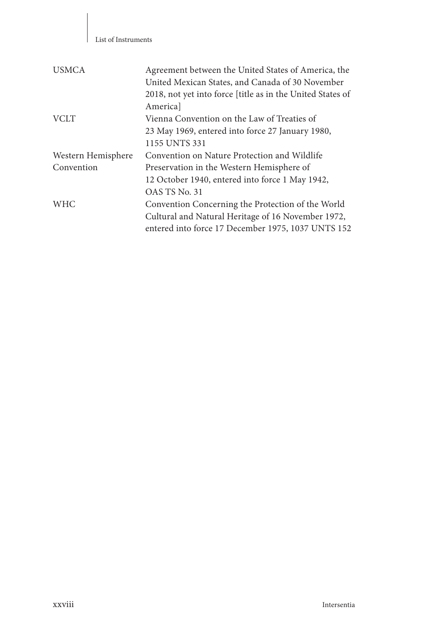| <b>USMCA</b>       | Agreement between the United States of America, the<br>United Mexican States, and Canada of 30 November<br>2018, not yet into force [title as in the United States of<br>Americal |
|--------------------|-----------------------------------------------------------------------------------------------------------------------------------------------------------------------------------|
| <b>VCLT</b>        | Vienna Convention on the Law of Treaties of                                                                                                                                       |
|                    | 23 May 1969, entered into force 27 January 1980,                                                                                                                                  |
|                    | 1155 UNTS 331                                                                                                                                                                     |
| Western Hemisphere | Convention on Nature Protection and Wildlife                                                                                                                                      |
| Convention         | Preservation in the Western Hemisphere of                                                                                                                                         |
|                    | 12 October 1940, entered into force 1 May 1942,                                                                                                                                   |
|                    | OAS TS No. 31                                                                                                                                                                     |
| <b>WHC</b>         | Convention Concerning the Protection of the World                                                                                                                                 |
|                    | Cultural and Natural Heritage of 16 November 1972,                                                                                                                                |
|                    | entered into force 17 December 1975, 1037 UNTS 152                                                                                                                                |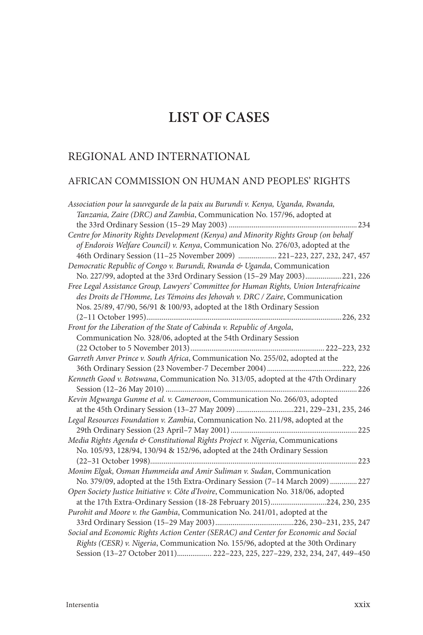## **LIST OF CASES**

## REGIONAL AND INTERNATIONAL

#### AFRICAN COMMISSION ON HUMAN AND PEOPLES ' RIGHTS

| Association pour la sauvegarde de la paix au Burundi v. Kenya, Uganda, Rwanda,         |
|----------------------------------------------------------------------------------------|
| Tanzania, Zaire (DRC) and Zambia, Communication No. 157/96, adopted at                 |
|                                                                                        |
| Centre for Minority Rights Development (Kenya) and Minority Rights Group (on behalf    |
| of Endorois Welfare Council) v. Kenya, Communication No. 276/03, adopted at the        |
| 46th Ordinary Session (11-25 November 2009)  221-223, 227, 232, 247, 457               |
| Democratic Republic of Congo v. Burundi, Rwanda & Uganda, Communication                |
| No. 227/99, adopted at the 33rd Ordinary Session (15-29 May 2003)221, 226              |
| Free Legal Assistance Group, Lawyers' Committee for Human Rights, Union Interafricaine |
| des Droits de l'Homme, Les Témoins des Jehovah v. DRC / Zaire, Communication           |
| Nos. 25/89, 47/90, 56/91 & 100/93, adopted at the 18th Ordinary Session                |
|                                                                                        |
| Front for the Liberation of the State of Cabinda v. Republic of Angola,                |
| Communication No. 328/06, adopted at the 54th Ordinary Session                         |
|                                                                                        |
| Garreth Anver Prince v. South Africa, Communication No. 255/02, adopted at the         |
|                                                                                        |
| Kenneth Good v. Botswana, Communication No. 313/05, adopted at the 47th Ordinary       |
|                                                                                        |
| Kevin Mgwanga Gunme et al. v. Cameroon, Communication No. 266/03, adopted              |
| at the 45th Ordinary Session (13-27 May 2009) 221, 229-231, 235, 246                   |
| Legal Resources Foundation v. Zambia, Communication No. 211/98, adopted at the         |
|                                                                                        |
| Media Rights Agenda & Constitutional Rights Project v. Nigeria, Communications         |
| No. 105/93, 128/94, 130/94 & 152/96, adopted at the 24th Ordinary Session              |
|                                                                                        |
| Monim Elgak, Osman Hummeida and Amir Suliman v. Sudan, Communication                   |
| No. 379/09, adopted at the 15th Extra-Ordinary Session (7-14 March 2009)  227          |
| Open Society Justice Initiative v. Côte d'Ivoire, Communication No. 318/06, adopted    |
| at the 17th Extra-Ordinary Session (18-28 February 2015)224, 230, 235                  |
| Purohit and Moore v. the Gambia, Communication No. 241/01, adopted at the              |
|                                                                                        |
| Social and Economic Rights Action Center (SERAC) and Center for Economic and Social    |
| Rights (CESR) v. Nigeria, Communication No. 155/96, adopted at the 30th Ordinary       |
| Session (13-27 October 2011) 222-223, 225, 227-229, 232, 234, 247, 449-450             |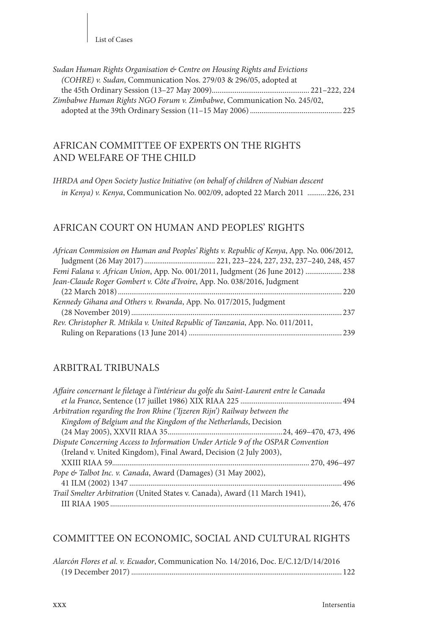List of Cases

| Sudan Human Rights Organisation & Centre on Housing Rights and Evictions |  |
|--------------------------------------------------------------------------|--|
| (COHRE) v. Sudan, Communication Nos. 279/03 & 296/05, adopted at         |  |
|                                                                          |  |
| Zimbabwe Human Rights NGO Forum v. Zimbabwe, Communication No. 245/02,   |  |
|                                                                          |  |

#### AFRICAN COMMITTEE OF EXPERTS ON THE RIGHTS AND WELFARE OF THE CHILD

*IHRDA and Open Society Justice Initiative (on behalf of children of Nubian descent in Kenya) v. Kenya*, Communication No. 002/09, adopted 22 March 2011 ..........226, 231

#### AFRICAN COURT ON HUMAN AND PEOPLES' RIGHTS

| African Commission on Human and Peoples' Rights v. Republic of Kenya, App. No. 006/2012, |  |
|------------------------------------------------------------------------------------------|--|
|                                                                                          |  |
| Femi Falana v. African Union, App. No. 001/2011, Judgment (26 June 2012)  238            |  |
| Jean-Claude Roger Gombert v. Côte d'Ivoire, App. No. 038/2016, Judgment                  |  |
|                                                                                          |  |
| Kennedy Gihana and Others v. Rwanda, App. No. 017/2015, Judgment                         |  |
|                                                                                          |  |
| Rev. Christopher R. Mtikila v. United Republic of Tanzania, App. No. 011/2011,           |  |
|                                                                                          |  |
|                                                                                          |  |

#### ARBITRAL TRIBUNALS

#### COMMITTEE ON ECONOMIC, SOCIAL AND CULTURAL RIGHTS

| Alarcón Flores et al. v. Ecuador, Communication No. 14/2016, Doc. E/C.12/D/14/2016 |  |
|------------------------------------------------------------------------------------|--|
|                                                                                    |  |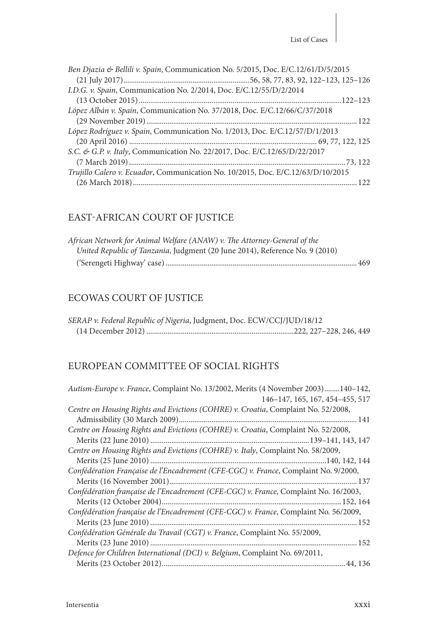| Ben Djazia & Bellili v. Spain, Communication No. 5/2015, Doc. E/C.12/61/D/5/2015 |
|----------------------------------------------------------------------------------|
|                                                                                  |
| I.D.G. v. Spain, Communication No. 2/2014, Doc. E/C.12/55/D/2/2014               |
|                                                                                  |
| López Albán v. Spain, Communication No. 37/2018, Doc. E/C.12/66/C/37/2018        |
|                                                                                  |
| López Rodríguez v. Spain, Communication No. 1/2013, Doc. E/C.12/57/D/1/2013      |
|                                                                                  |
| S.C. & G.P. v. Italy, Communication No. 22/2017, Doc. E/C.12/65/D/22/2017        |
|                                                                                  |
| Trujillo Calero v. Ecuador, Communication No. 10/2015, Doc. E/C.12/63/D/10/2015  |
|                                                                                  |

### EAST-AFRICAN COURT OF JUSTICE

| African Network for Animal Welfare (ANAW) v. The Attorney-General of the     |  |
|------------------------------------------------------------------------------|--|
| United Republic of Tanzania, Judgment (20 June 2014), Reference No. 9 (2010) |  |
|                                                                              |  |

## ECOWAS COURT OF JUSTICE

| SERAP v. Federal Republic of Nigeria, Judgment, Doc. ECW/CCJ/JUD/18/12 |  |
|------------------------------------------------------------------------|--|
|                                                                        |  |

### EUROPEAN COMMITTEE OF SOCIAL RIGHTS

| Autism-Europe v. France, Complaint No. 13/2002, Merits (4 November 2003)140-142,     |
|--------------------------------------------------------------------------------------|
| 146-147, 165, 167, 454-455, 517                                                      |
| Centre on Housing Rights and Evictions (COHRE) v. Croatia, Complaint No. 52/2008,    |
|                                                                                      |
| Centre on Housing Rights and Evictions (COHRE) v. Croatia, Complaint No. 52/2008,    |
|                                                                                      |
| Centre on Housing Rights and Evictions (COHRE) v. Italy, Complaint No. 58/2009,      |
|                                                                                      |
| Confédération Française de l'Encadrement (CFE-CGC) v. France, Complaint No. 9/2000,  |
|                                                                                      |
| Confédération française de l'Encadrement (CFE-CGC) v. France, Complaint No. 16/2003, |
|                                                                                      |
| Confédération française de l'Encadrement (CFE-CGC) v. France, Complaint No. 56/2009, |
|                                                                                      |
| Confédération Générale du Travail (CGT) v. France, Complaint No. 55/2009,            |
|                                                                                      |
| Defence for Children International (DCI) v. Belgium, Complaint No. 69/2011,          |
|                                                                                      |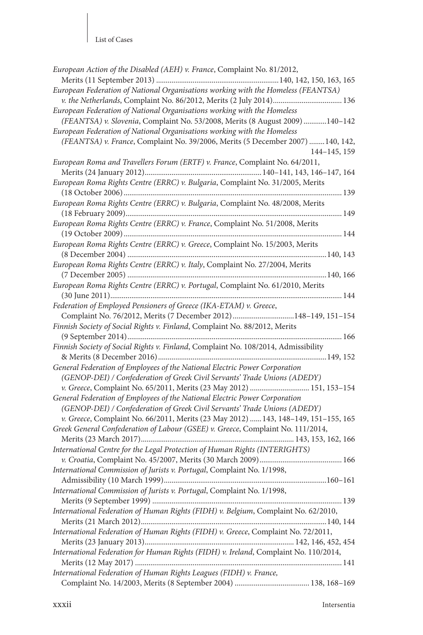#### List of Cases

| European Action of the Disabled (AEH) v. France, Complaint No. 81/2012,                                                                                  |
|----------------------------------------------------------------------------------------------------------------------------------------------------------|
|                                                                                                                                                          |
| European Federation of National Organisations working with the Homeless (FEANTSA)<br>v. the Netherlands, Complaint No. 86/2012, Merits (2 July 2014) 136 |
| European Federation of National Organisations working with the Homeless                                                                                  |
| (FEANTSA) v. Slovenia, Complaint No. 53/2008, Merits (8 August 2009) 140-142                                                                             |
| European Federation of National Organisations working with the Homeless                                                                                  |
| (FEANTSA) v. France, Complaint No. 39/2006, Merits (5 December 2007)  140, 142,                                                                          |
| 144-145, 159                                                                                                                                             |
| European Roma and Travellers Forum (ERTF) v. France, Complaint No. 64/2011,                                                                              |
|                                                                                                                                                          |
| European Roma Rights Centre (ERRC) v. Bulgaria, Complaint No. 31/2005, Merits                                                                            |
|                                                                                                                                                          |
| European Roma Rights Centre (ERRC) v. Bulgaria, Complaint No. 48/2008, Merits                                                                            |
|                                                                                                                                                          |
| European Roma Rights Centre (ERRC) v. France, Complaint No. 51/2008, Merits                                                                              |
|                                                                                                                                                          |
| European Roma Rights Centre (ERRC) v. Greece, Complaint No. 15/2003, Merits                                                                              |
| European Roma Rights Centre (ERRC) v. Italy, Complaint No. 27/2004, Merits                                                                               |
|                                                                                                                                                          |
| European Roma Rights Centre (ERRC) v. Portugal, Complaint No. 61/2010, Merits                                                                            |
|                                                                                                                                                          |
| Federation of Employed Pensioners of Greece (IKA-ETAM) v. Greece,                                                                                        |
| Complaint No. 76/2012, Merits (7 December 2012) 148-149, 151-154                                                                                         |
| Finnish Society of Social Rights v. Finland, Complaint No. 88/2012, Merits                                                                               |
|                                                                                                                                                          |
| Finnish Society of Social Rights v. Finland, Complaint No. 108/2014, Admissibility                                                                       |
|                                                                                                                                                          |
| General Federation of Employees of the National Electric Power Corporation                                                                               |
| (GENOP-DEI) / Confederation of Greek Civil Servants' Trade Unions (ADEDY)                                                                                |
| v. Greece, Complaint No. 65/2011, Merits (23 May 2012)  151, 153-154                                                                                     |
| General Federation of Employees of the National Electric Power Corporation                                                                               |
| (GENOP-DEI) / Confederation of Greek Civil Servants' Trade Unions (ADEDY)                                                                                |
| v. Greece, Complaint No. 66/2011, Merits (23 May 2012)  143, 148-149, 151-155, 165                                                                       |
| Greek General Confederation of Labour (GSEE) v. Greece, Complaint No. 111/2014,                                                                          |
|                                                                                                                                                          |
| International Centre for the Legal Protection of Human Rights (INTERIGHTS)                                                                               |
| International Commission of Jurists v. Portugal, Complaint No. 1/1998,                                                                                   |
| Admissibility (10 March 1999)                                                                                                                            |
| 160–161<br>International Commission of Jurists v. Portugal, Complaint No. 1/1998,                                                                        |
|                                                                                                                                                          |
| International Federation of Human Rights (FIDH) v. Belgium, Complaint No. 62/2010,                                                                       |
|                                                                                                                                                          |
| International Federation of Human Rights (FIDH) v. Greece, Complaint No. 72/2011,                                                                        |
|                                                                                                                                                          |
| International Federation for Human Rights (FIDH) v. Ireland, Complaint No. 110/2014,                                                                     |
|                                                                                                                                                          |
| International Federation of Human Rights Leagues (FIDH) v. France,                                                                                       |
|                                                                                                                                                          |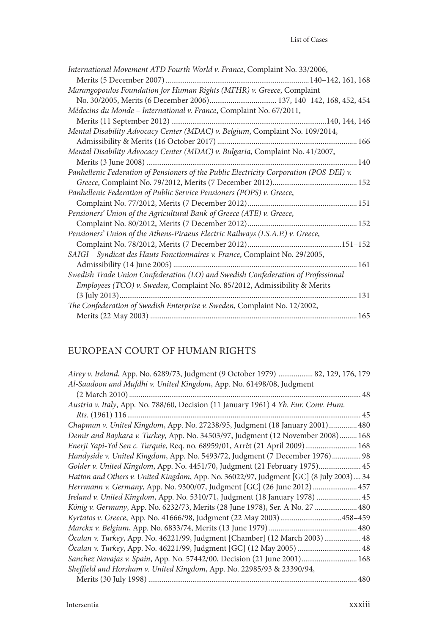| International Movement ATD Fourth World v. France, Complaint No. 33/2006,               |
|-----------------------------------------------------------------------------------------|
|                                                                                         |
| Marangopoulos Foundation for Human Rights (MFHR) v. Greece, Complaint                   |
|                                                                                         |
| Médecins du Monde - International v. France, Complaint No. 67/2011,                     |
|                                                                                         |
| Mental Disability Advocacy Center (MDAC) v. Belgium, Complaint No. 109/2014,            |
|                                                                                         |
| Mental Disability Advocacy Center (MDAC) v. Bulgaria, Complaint No. 41/2007,            |
|                                                                                         |
| Panhellenic Federation of Pensioners of the Public Electricity Corporation (POS-DEI) v. |
|                                                                                         |
| Panhellenic Federation of Public Service Pensioners (POPS) v. Greece,                   |
|                                                                                         |
| Pensioners' Union of the Agricultural Bank of Greece (ATE) v. Greece,                   |
|                                                                                         |
| Pensioners' Union of the Athens-Piraeus Electric Railways (I.S.A.P.) v. Greece,         |
|                                                                                         |
| SAIGI - Syndicat des Hauts Fonctionnaires v. France, Complaint No. 29/2005,             |
|                                                                                         |
| Swedish Trade Union Confederation (LO) and Swedish Confederation of Professional        |
| Employees (TCO) v. Sweden, Complaint No. 85/2012, Admissibility & Merits                |
|                                                                                         |
| The Confederation of Swedish Enterprise v. Sweden, Complaint No. 12/2002,               |
|                                                                                         |

## EUROPEAN COURT OF HUMAN RIGHTS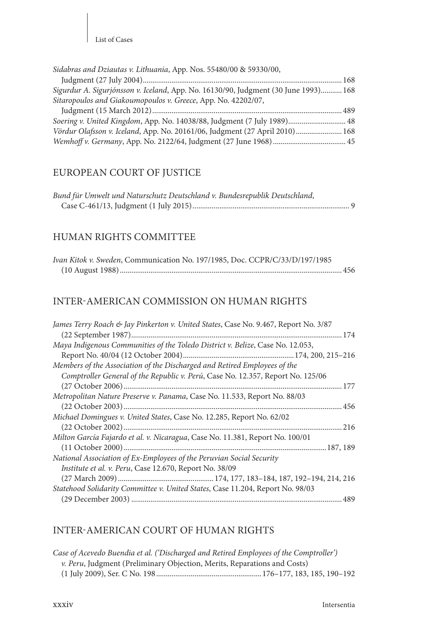| Sidabras and Dziautas v. Lithuania, App. Nos. 55480/00 & 59330/00,                  |  |
|-------------------------------------------------------------------------------------|--|
|                                                                                     |  |
| Sigurdur A. Sigurjónsson v. Iceland, App. No. 16130/90, Judgment (30 June 1993) 168 |  |
| Sitaropoulos and Giakoumopoulos v. Greece, App. No. 42202/07,                       |  |
|                                                                                     |  |
| Soering v. United Kingdom, App. No. 14038/88, Judgment (7 July 1989) 48             |  |
| Vördur Olafsson v. Iceland, App. No. 20161/06, Judgment (27 April 2010)  168        |  |
|                                                                                     |  |

## EUROPEAN COURT OF JUSTICE

| Bund für Umwelt und Naturschutz Deutschland v. Bundesrepublik Deutschland, |  |
|----------------------------------------------------------------------------|--|
|                                                                            |  |

#### HUMAN RIGHTS COMMITTEE

| Ivan Kitok v. Sweden, Communication No. 197/1985, Doc. CCPR/C/33/D/197/1985 |  |
|-----------------------------------------------------------------------------|--|
|                                                                             |  |

#### INTER-AMERICAN COMMISSION ON HUMAN RIGHTS

| James Terry Roach & Jay Pinkerton v. United States, Case No. 9.467, Report No. 3/87 |
|-------------------------------------------------------------------------------------|
|                                                                                     |
| Maya Indigenous Communities of the Toledo District v. Belize, Case No. 12.053,      |
|                                                                                     |
| Members of the Association of the Discharged and Retired Employees of the           |
| Comptroller General of the Republic v. Perú, Case No. 12.357, Report No. 125/06     |
| 177                                                                                 |
| Metropolitan Nature Preserve v. Panama, Case No. 11.533, Report No. 88/03           |
|                                                                                     |
| Michael Domingues v. United States, Case No. 12.285, Report No. 62/02               |
|                                                                                     |
| Milton García Fajardo et al. v. Nicaragua, Case No. 11.381, Report No. 100/01       |
|                                                                                     |
| National Association of Ex-Employees of the Peruvian Social Security                |
| Institute et al. v. Peru, Case 12.670, Report No. 38/09                             |
|                                                                                     |
| Statehood Solidarity Committee v. United States, Case 11.204, Report No. 98/03      |
|                                                                                     |

#### INTER-AMERICAN COURT OF HUMAN RIGHTS

| Case of Acevedo Buendia et al. ('Discharged and Retired Employees of the Comptroller') |  |
|----------------------------------------------------------------------------------------|--|
| <i>v. Peru</i> , Judgment (Preliminary Objection, Merits, Reparations and Costs)       |  |
|                                                                                        |  |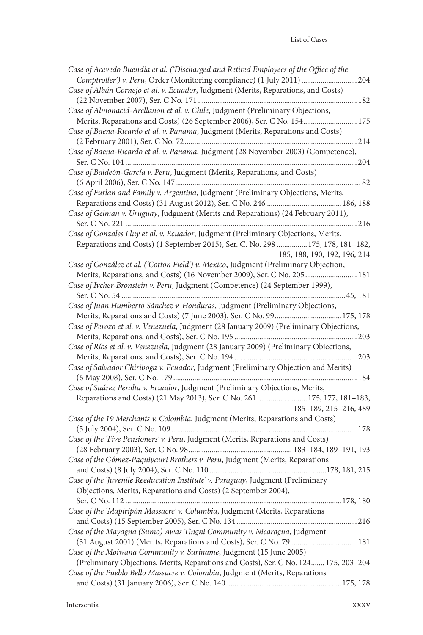| Case of Acevedo Buendia et al. ('Discharged and Retired Employees of the Office of the  |
|-----------------------------------------------------------------------------------------|
| Comptroller') v. Peru, Order (Monitoring compliance) (1 July 2011)  204                 |
| Case of Albán Cornejo et al. v. Ecuador, Judgment (Merits, Reparations, and Costs)      |
|                                                                                         |
| Case of Almonacid-Arellanon et al. v. Chile, Judgment (Preliminary Objections,          |
| Merits, Reparations and Costs) (26 September 2006), Ser. C No. 154 175                  |
| Case of Baena-Ricardo et al. v. Panama, Judgment (Merits, Reparations and Costs)        |
|                                                                                         |
|                                                                                         |
| Case of Baena-Ricardo et al. v. Panama, Judgment (28 November 2003) (Competence),       |
|                                                                                         |
| Case of Baldeón-García v. Peru, Judgment (Merits, Reparations, and Costs)               |
|                                                                                         |
| Case of Furlan and Family v. Argentina, Judgment (Preliminary Objections, Merits,       |
|                                                                                         |
| Case of Gelman v. Uruguay, Judgment (Merits and Reparations) (24 February 2011),        |
|                                                                                         |
| Case of Gonzales Lluy et al. v. Ecuador, Judgment (Preliminary Objections, Merits,      |
| Reparations and Costs) (1 September 2015), Ser. C. No. 298  175, 178, 181-182,          |
| 185, 188, 190, 192, 196, 214                                                            |
|                                                                                         |
| Case of González et al. ('Cotton Field') v. Mexico, Judgment (Preliminary Objection,    |
| Merits, Reparations, and Costs) (16 November 2009), Ser. C No. 205  181                 |
| Case of Ivcher-Bronstein v. Peru, Judgment (Competence) (24 September 1999),            |
|                                                                                         |
| Case of Juan Humberto Sánchez v. Honduras, Judgment (Preliminary Objections,            |
|                                                                                         |
| Case of Perozo et al. v. Venezuela, Judgment (28 January 2009) (Preliminary Objections, |
|                                                                                         |
| Case of Ríos et al. v. Venezuela, Judgment (28 January 2009) (Preliminary Objections,   |
|                                                                                         |
| Case of Salvador Chiriboga v. Ecuador, Judgment (Preliminary Objection and Merits)      |
|                                                                                         |
| Case of Suárez Peralta v. Ecuador, Judgment (Preliminary Objections, Merits,            |
| Reparations and Costs) (21 May 2013), Ser. C No. 261 175, 177, 181-183,                 |
|                                                                                         |
| 185-189, 215-216, 489                                                                   |
| Case of the 19 Merchants v. Colombia, Judgment (Merits, Reparations and Costs)          |
|                                                                                         |
| Case of the 'Five Pensioners' v. Peru, Judgment (Merits, Reparations and Costs)         |
|                                                                                         |
| Case of the Gómez-Paquiyauri Brothers v. Peru, Judgment (Merits, Reparations            |
|                                                                                         |
| Case of the 'Juvenile Reeducation Institute' v. Paraguay, Judgment (Preliminary         |
| Objections, Merits, Reparations and Costs) (2 September 2004),                          |
|                                                                                         |
|                                                                                         |
|                                                                                         |
| Case of the 'Mapiripán Massacre' v. Columbia, Judgment (Merits, Reparations             |
|                                                                                         |
| Case of the Mayagna (Sumo) Awas Tingni Community v. Nicaragua, Judgment                 |
| (31 August 2001) (Merits, Reparations and Costs), Ser. C No. 79 181                     |
| Case of the Moiwana Community v. Suriname, Judgment (15 June 2005)                      |
| (Preliminary Objections, Merits, Reparations and Costs), Ser. C No. 124 175, 203-204    |
| Case of the Pueblo Bello Massacre v. Colombia, Judgment (Merits, Reparations            |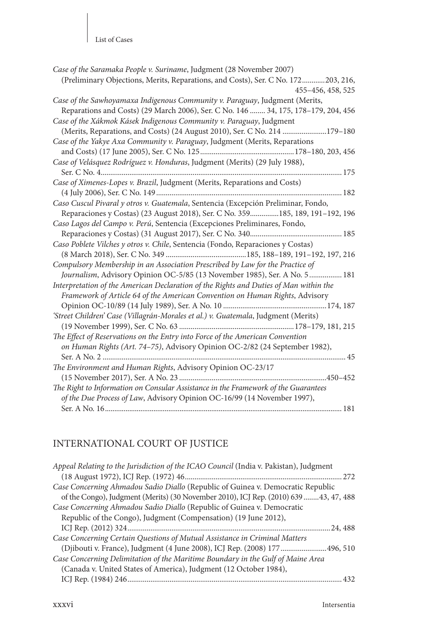| Case of the Saramaka People v. Suriname, Judgment (28 November 2007)                  |
|---------------------------------------------------------------------------------------|
| (Preliminary Objections, Merits, Reparations, and Costs), Ser. C No. 172203, 216,     |
| 455-456, 458, 525                                                                     |
| Case of the Sawhoyamaxa Indigenous Community v. Paraguay, Judgment (Merits,           |
| Reparations and Costs) (29 March 2006), Ser. C No. 146  34, 175, 178-179, 204, 456    |
| Case of the Xákmok Kásek Indigenous Community v. Paraguay, Judgment                   |
| (Merits, Reparations, and Costs) (24 August 2010), Ser. C No. 214 179-180             |
| Case of the Yakye Axa Community v. Paraguay, Judgment (Merits, Reparations            |
|                                                                                       |
| Case of Velásquez Rodríguez v. Honduras, Judgment (Merits) (29 July 1988),            |
|                                                                                       |
| Case of Ximenes-Lopes v. Brazil, Judgment (Merits, Reparations and Costs)             |
|                                                                                       |
| Caso Cuscul Pivaral y otros v. Guatemala, Sentencia (Excepción Preliminar, Fondo,     |
| Reparaciones y Costas) (23 August 2018), Ser. C No. 359185, 189, 191-192, 196         |
| Caso Lagos del Campo v. Perú, Sentencia (Excepciones Preliminares, Fondo,             |
|                                                                                       |
| Caso Poblete Vilches y otros v. Chile, Sentencia (Fondo, Reparaciones y Costas)       |
|                                                                                       |
|                                                                                       |
| Compulsory Membership in an Association Prescribed by Law for the Practice of         |
| Journalism, Advisory Opinion OC-5/85 (13 November 1985), Ser. A No. 5  181            |
| Interpretation of the American Declaration of the Rights and Duties of Man within the |
| Framework of Article 64 of the American Convention on Human Rights, Advisory          |
|                                                                                       |
| 'Street Children' Case (Villagrán-Morales et al.) v. Guatemala, Judgment (Merits)     |
|                                                                                       |
| The Effect of Reservations on the Entry into Force of the American Convention         |
| on Human Rights (Art. 74-75), Advisory Opinion OC-2/82 (24 September 1982),           |
|                                                                                       |
| The Environment and Human Rights, Advisory Opinion OC-23/17                           |
|                                                                                       |
| The Right to Information on Consular Assistance in the Framework of the Guarantees    |
| of the Due Process of Law, Advisory Opinion OC-16/99 (14 November 1997),              |
|                                                                                       |

## INTERNATIONAL COURT OF JUSTICE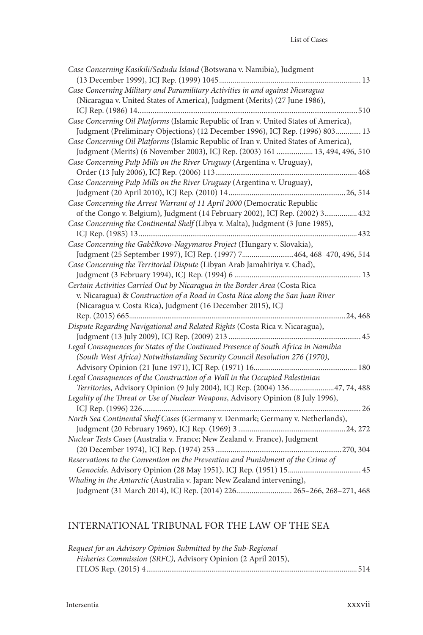| Case Concerning Kasikili/Sedudu Island (Botswana v. Namibia), Judgment                |
|---------------------------------------------------------------------------------------|
|                                                                                       |
| Case Concerning Military and Paramilitary Activities in and against Nicaragua         |
| (Nicaragua v. United States of America), Judgment (Merits) (27 June 1986),            |
|                                                                                       |
| Case Concerning Oil Platforms (Islamic Republic of Iran v. United States of America), |
| Judgment (Preliminary Objections) (12 December 1996), ICJ Rep. (1996) 803 13          |
| Case Concerning Oil Platforms (Islamic Republic of Iran v. United States of America), |
| Judgment (Merits) (6 November 2003), ICJ Rep. (2003) 161  13, 494, 496, 510           |
| Case Concerning Pulp Mills on the River Uruguay (Argentina v. Uruguay),               |
|                                                                                       |
| Case Concerning Pulp Mills on the River Uruguay (Argentina v. Uruguay),               |
|                                                                                       |
| Case Concerning the Arrest Warrant of 11 April 2000 (Democratic Republic              |
| of the Congo v. Belgium), Judgment (14 February 2002), ICJ Rep. (2002) 3 432          |
| Case Concerning the Continental Shelf (Libya v. Malta), Judgment (3 June 1985),       |
|                                                                                       |
| Case Concerning the Gabčíkovo-Nagymaros Project (Hungary v. Slovakia),                |
| Judgment (25 September 1997), ICJ Rep. (1997) 7464, 468-470, 496, 514                 |
| Case Concerning the Territorial Dispute (Libyan Arab Jamahiriya v. Chad),             |
|                                                                                       |
| Certain Activities Carried Out by Nicaragua in the Border Area (Costa Rica            |
| v. Nicaragua) & Construction of a Road in Costa Rica along the San Juan River         |
| (Nicaragua v. Costa Rica), Judgment (16 December 2015), ICJ                           |
|                                                                                       |
| Dispute Regarding Navigational and Related Rights (Costa Rica v. Nicaragua),          |
|                                                                                       |
| Legal Consequences for States of the Continued Presence of South Africa in Namibia    |
| (South West Africa) Notwithstanding Security Council Resolution 276 (1970),           |
|                                                                                       |
| Legal Consequences of the Construction of a Wall in the Occupied Palestinian          |
| Territories, Advisory Opinion (9 July 2004), ICJ Rep. (2004) 13647, 74, 488           |
| Legality of the Threat or Use of Nuclear Weapons, Advisory Opinion (8 July 1996),     |
|                                                                                       |
| North Sea Continental Shelf Cases (Germany v. Denmark; Germany v. Netherlands),       |
|                                                                                       |
| Nuclear Tests Cases (Australia v. France; New Zealand v. France), Judgment            |
|                                                                                       |
| Reservations to the Convention on the Prevention and Punishment of the Crime of       |
|                                                                                       |
| Whaling in the Antarctic (Australia v. Japan: New Zealand intervening),               |
| Judgment (31 March 2014), ICJ Rep. (2014) 226 265-266, 268-271, 468                   |

## INTERNATIONAL TRIBUNAL FOR THE LAW OF THE SEA

| Request for an Advisory Opinion Submitted by the Sub-Regional |  |
|---------------------------------------------------------------|--|
| Fisheries Commission (SRFC), Advisory Opinion (2 April 2015), |  |
|                                                               |  |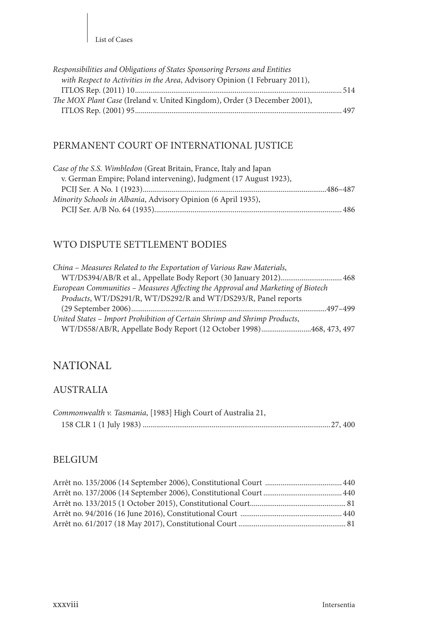| Responsibilities and Obligations of States Sponsoring Persons and Entities  |  |
|-----------------------------------------------------------------------------|--|
| with Respect to Activities in the Area, Advisory Opinion (1 February 2011), |  |
|                                                                             |  |
| The MOX Plant Case (Ireland v. United Kingdom), Order (3 December 2001),    |  |
|                                                                             |  |

## PERMANENT COURT OF INTERNATIONAL JUSTICE

| Case of the S.S. Wimbledon (Great Britain, France, Italy and Japan |  |
|--------------------------------------------------------------------|--|
| v. German Empire; Poland intervening), Judgment (17 August 1923),  |  |
|                                                                    |  |
| Minority Schools in Albania, Advisory Opinion (6 April 1935),      |  |
|                                                                    |  |

## WTO DISPUTE SETTLEMENT BODIES

| China – Measures Related to the Exportation of Various Raw Materials,           |  |
|---------------------------------------------------------------------------------|--|
| WT/DS394/AB/R et al., Appellate Body Report (30 January 2012) 468               |  |
| European Communities – Measures Affecting the Approval and Marketing of Biotech |  |
| Products, WT/DS291/R, WT/DS292/R and WT/DS293/R, Panel reports                  |  |
|                                                                                 |  |
| United States - Import Prohibition of Certain Shrimp and Shrimp Products,       |  |
| WT/DS58/AB/R, Appellate Body Report (12 October 1998)468, 473, 497              |  |

## NATIONAL

### AUSTRALIA

| Commonwealth v. Tasmania, [1983] High Court of Australia 21, |  |
|--------------------------------------------------------------|--|
|                                                              |  |

#### BELGIUM